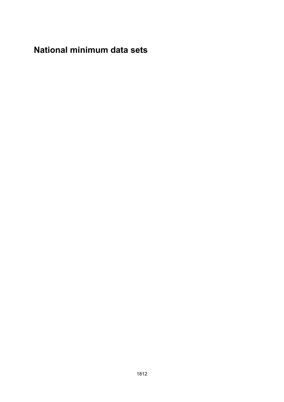# **National minimum data sets**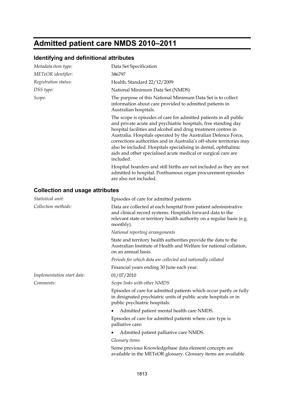# **Admitted patient care NMDS 2010–2011**

#### **Identifying and definitional attributes**

| Metadata item type:                    | Data Set Specification                                                                                                                                                                                                                                                                                                                                                                                                                                                                         |
|----------------------------------------|------------------------------------------------------------------------------------------------------------------------------------------------------------------------------------------------------------------------------------------------------------------------------------------------------------------------------------------------------------------------------------------------------------------------------------------------------------------------------------------------|
| METeOR identifier:                     | 386797                                                                                                                                                                                                                                                                                                                                                                                                                                                                                         |
| Registration status:                   | Health, Standard 22/12/2009                                                                                                                                                                                                                                                                                                                                                                                                                                                                    |
| DSS type:                              | National Minimum Data Set (NMDS)                                                                                                                                                                                                                                                                                                                                                                                                                                                               |
| Scope:                                 | The purpose of this National Minimum Data Set is to collect<br>information about care provided to admitted patients in<br>Australian hospitals.                                                                                                                                                                                                                                                                                                                                                |
|                                        | The scope is episodes of care for admitted patients in all public<br>and private acute and psychiatric hospitals, free standing day<br>hospital facilities and alcohol and drug treatment centres in<br>Australia. Hospitals operated by the Australian Defence Force,<br>corrections authorities and in Australia's off-shore territories may<br>also be included. Hospitals specialising in dental, ophthalmic<br>aids and other specialised acute medical or surgical care are<br>included. |
|                                        | Hospital boarders and still births are not included as they are not<br>admitted to hospital. Posthumous organ procurement episodes<br>are also not included.                                                                                                                                                                                                                                                                                                                                   |
| <b>Collection and usage attributes</b> |                                                                                                                                                                                                                                                                                                                                                                                                                                                                                                |
| Statistical unit:                      | Episodes of care for admitted patients                                                                                                                                                                                                                                                                                                                                                                                                                                                         |
| Collection methods:                    | Data are collected at each hospital from patient administrative<br>and clinical record systems. Hospitals forward data to the<br>relevant state or territory health authority on a regular basis (e.g.<br>monthly).                                                                                                                                                                                                                                                                            |
|                                        | National reporting arrangements                                                                                                                                                                                                                                                                                                                                                                                                                                                                |
|                                        | State and territory health authorities provide the data to the<br>Australian Institute of Health and Welfare for national collation,<br>on an annual basis.                                                                                                                                                                                                                                                                                                                                    |
|                                        | Periods for which data are collected and nationally collated                                                                                                                                                                                                                                                                                                                                                                                                                                   |
|                                        | Financial years ending 30 June each year.                                                                                                                                                                                                                                                                                                                                                                                                                                                      |
| Implementation start date:             | 01/07/2010                                                                                                                                                                                                                                                                                                                                                                                                                                                                                     |
| Comments:                              | Scope links with other NMDS                                                                                                                                                                                                                                                                                                                                                                                                                                                                    |
|                                        | Episodes of care for admitted patients which occur partly or fully<br>in designated psychiatric units of public acute hospitals or in<br>public psychiatric hospitals:                                                                                                                                                                                                                                                                                                                         |
|                                        | Admitted patient mental health care NMDS.                                                                                                                                                                                                                                                                                                                                                                                                                                                      |
|                                        | Episodes of care for admitted patients where care type is<br>palliative care:                                                                                                                                                                                                                                                                                                                                                                                                                  |
|                                        | Admitted patient palliative care NMDS.                                                                                                                                                                                                                                                                                                                                                                                                                                                         |
|                                        | Glossary <i>items</i><br>Some provious Knowledgebase data element concents are                                                                                                                                                                                                                                                                                                                                                                                                                 |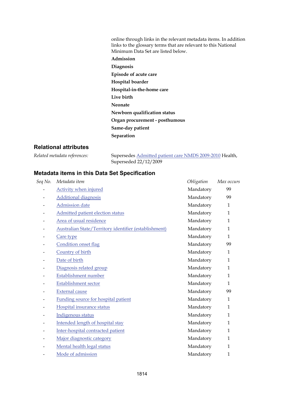online through links in the relevant metadata items. In addition links to the glossary terms that are relevant to this National Minimum Data Set are listed below.

**Admission Diagnosis Episode of acute care Hospital boarder Hospital-in-the-home care Live birth Neonate Newborn qualification status Organ procurement - posthumous Same-day patient Separation**

#### **Relational attributes**

| Related metadata references: | Supersedes <b>Admitted patient care NMDS 2009-2010</b> Health, |
|------------------------------|----------------------------------------------------------------|
|                              | Superseded 22/12/2009                                          |

| Metadata item                                         | Obligation | Max occurs   |
|-------------------------------------------------------|------------|--------------|
| Activity when injured                                 | Mandatory  | 99           |
| <b>Additional diagnosis</b>                           | Mandatory  | 99           |
| Admission date                                        | Mandatory  | $\mathbf{1}$ |
| Admitted patient election status                      | Mandatory  | $\mathbf{1}$ |
| Area of usual residence                               | Mandatory  | $\mathbf{1}$ |
| Australian State/Territory identifier (establishment) | Mandatory  | $\mathbf{1}$ |
| Care type                                             | Mandatory  | $\mathbf{1}$ |
| Condition onset flag                                  | Mandatory  | 99           |
| Country of birth                                      | Mandatory  | $\mathbf{1}$ |
| Date of birth                                         | Mandatory  | $\mathbf{1}$ |
| Diagnosis related group                               | Mandatory  | $\mathbf{1}$ |
| Establishment number                                  | Mandatory  | $\mathbf{1}$ |
| <b>Establishment sector</b>                           | Mandatory  | $\mathbf{1}$ |
| <b>External cause</b>                                 | Mandatory  | 99           |
| Funding source for hospital patient                   | Mandatory  | $\mathbf{1}$ |
| Hospital insurance status                             | Mandatory  | $\mathbf{1}$ |
| Indigenous status                                     | Mandatory  | $\mathbf{1}$ |
| Intended length of hospital stay                      | Mandatory  | $\mathbf{1}$ |
| Inter-hospital contracted patient                     | Mandatory  | $\mathbf{1}$ |
| Major diagnostic category                             | Mandatory  | $\mathbf{1}$ |
| Mental health legal status                            | Mandatory  | $\mathbf{1}$ |
| Mode of admission                                     | Mandatory  | $\mathbf{1}$ |
|                                                       |            |              |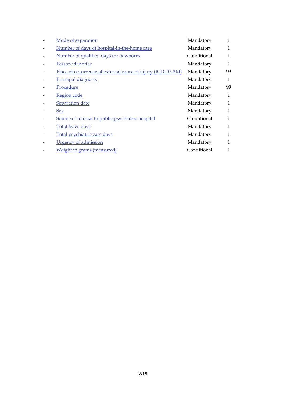| Mode of separation                                          | Mandatory   | 1            |
|-------------------------------------------------------------|-------------|--------------|
| Number of days of hospital-in-the-home care                 | Mandatory   | 1            |
| Number of qualified days for newborns                       | Conditional | 1            |
| Person identifier                                           | Mandatory   | 1            |
| Place of occurrence of external cause of injury (ICD-10-AM) | Mandatory   | 99           |
| Principal diagnosis                                         | Mandatory   | 1            |
| Procedure                                                   | Mandatory   | 99           |
| Region code                                                 | Mandatory   | 1            |
| Separation date                                             | Mandatory   | 1            |
| Sex                                                         | Mandatory   | $\mathbf{1}$ |
| Source of referral to public psychiatric hospital           | Conditional | 1            |
| <b>Total leave days</b>                                     | Mandatory   | 1            |
| Total psychiatric care days                                 | Mandatory   | 1            |
| <b>Urgency of admission</b>                                 | Mandatory   | 1            |
| Weight in grams (measured)                                  | Conditional | 1            |
|                                                             |             |              |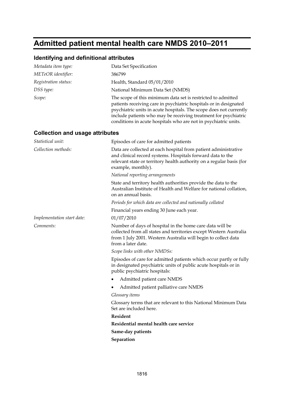# **Admitted patient mental health care NMDS 2010–2011**

## **Identifying and definitional attributes**

| Metadata item type:                    | Data Set Specification                                                                                                                                                                                                                                                                                                                        |
|----------------------------------------|-----------------------------------------------------------------------------------------------------------------------------------------------------------------------------------------------------------------------------------------------------------------------------------------------------------------------------------------------|
| METeOR identifier:                     | 386799                                                                                                                                                                                                                                                                                                                                        |
| Registration status:                   | Health, Standard 05/01/2010                                                                                                                                                                                                                                                                                                                   |
| DSS type:                              | National Minimum Data Set (NMDS)                                                                                                                                                                                                                                                                                                              |
| Scope:                                 | The scope of this minimum data set is restricted to admitted<br>patients receiving care in psychiatric hospitals or in designated<br>psychiatric units in acute hospitals. The scope does not currently<br>include patients who may be receiving treatment for psychiatric<br>conditions in acute hospitals who are not in psychiatric units. |
| <b>Collection and usage attributes</b> |                                                                                                                                                                                                                                                                                                                                               |
| Statistical unit:                      | Episodes of care for admitted patients                                                                                                                                                                                                                                                                                                        |
| Collection methods:                    | Data are collected at each hospital from patient administrative<br>and clinical record systems. Hospitals forward data to the<br>relevant state or territory health authority on a regular basis (for<br>example, monthly).                                                                                                                   |
|                                        | National reporting arrangements                                                                                                                                                                                                                                                                                                               |
|                                        | State and territory health authorities provide the data to the<br>Australian Institute of Health and Welfare for national collation,<br>on an annual basis.                                                                                                                                                                                   |
|                                        | Periods for which data are collected and nationally collated                                                                                                                                                                                                                                                                                  |
|                                        | Financial years ending 30 June each year.                                                                                                                                                                                                                                                                                                     |
| Implementation start date:             | 01/07/2010                                                                                                                                                                                                                                                                                                                                    |
| Comments:                              | Number of days of hospital in the home care data will be<br>collected from all states and territories except Western Australia<br>from 1 July 2001. Western Australia will begin to collect data<br>from a later date.                                                                                                                        |
|                                        | Scope links with other NMDSs:                                                                                                                                                                                                                                                                                                                 |
|                                        | Episodes of care for admitted patients which occur partly or fully<br>in designated psychiatric units of public acute hospitals or in<br>public psychiatric hospitals:                                                                                                                                                                        |
|                                        | Admitted patient care NMDS<br>٠                                                                                                                                                                                                                                                                                                               |
|                                        | Admitted patient palliative care NMDS                                                                                                                                                                                                                                                                                                         |
|                                        | Glossary <i>items</i>                                                                                                                                                                                                                                                                                                                         |
|                                        | Glossary terms that are relevant to this National Minimum Data<br>Set are included here.                                                                                                                                                                                                                                                      |
|                                        | Resident                                                                                                                                                                                                                                                                                                                                      |
|                                        | Residential mental health care service                                                                                                                                                                                                                                                                                                        |
|                                        | Same-day patients                                                                                                                                                                                                                                                                                                                             |
|                                        | Separation                                                                                                                                                                                                                                                                                                                                    |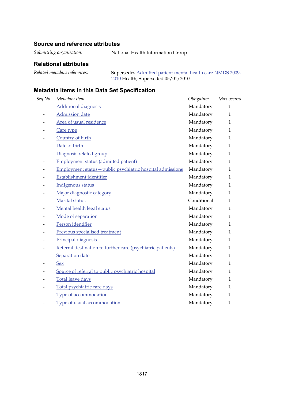### **Source and reference attributes**

*Submitting organisation:* National Health Information Group

### **Relational attributes**

| Related metadata references: | Supersedes Admitted patient mental health care NMDS 2009- |
|------------------------------|-----------------------------------------------------------|
|                              | $2010$ Health, Superseded $05/01/2010$                    |

| Seq No.                  | Metadata item                                               | Obligation  | Max occurs   |
|--------------------------|-------------------------------------------------------------|-------------|--------------|
|                          | <b>Additional diagnosis</b>                                 | Mandatory   | $\mathbf{1}$ |
| -                        | <b>Admission</b> date                                       | Mandatory   | $\mathbf{1}$ |
|                          | Area of usual residence                                     | Mandatory   | 1            |
| $\overline{\phantom{0}}$ | Care type                                                   | Mandatory   | $\mathbf{1}$ |
|                          | Country of birth                                            | Mandatory   | $\mathbf{1}$ |
| -                        | Date of birth                                               | Mandatory   | $\mathbf{1}$ |
| $\overline{\phantom{0}}$ | Diagnosis related group                                     | Mandatory   | $\mathbf{1}$ |
|                          | <b>Employment status (admitted patient)</b>                 | Mandatory   | $\mathbf{1}$ |
| ۰                        | Employment status - public psychiatric hospital admissions  | Mandatory   | $\mathbf{1}$ |
|                          | Establishment identifier                                    | Mandatory   | $\mathbf{1}$ |
| -                        | Indigenous status                                           | Mandatory   | $\mathbf{1}$ |
| -                        | Major diagnostic category                                   | Mandatory   | $\mathbf{1}$ |
|                          | Marital status                                              | Conditional | 1            |
| $\overline{\phantom{0}}$ | Mental health legal status                                  | Mandatory   | $\mathbf{1}$ |
|                          | Mode of separation                                          | Mandatory   | $\mathbf{1}$ |
| $\overline{\phantom{0}}$ | Person identifier                                           | Mandatory   | $\mathbf{1}$ |
|                          | Previous specialised treatment                              | Mandatory   | $\mathbf{1}$ |
|                          | Principal diagnosis                                         | Mandatory   | $\mathbf{1}$ |
| $\overline{\phantom{0}}$ | Referral destination to further care (psychiatric patients) | Mandatory   | $\mathbf{1}$ |
|                          | Separation date                                             | Mandatory   | $\mathbf{1}$ |
| $\overline{\phantom{0}}$ | <b>Sex</b>                                                  | Mandatory   | $\mathbf{1}$ |
|                          | Source of referral to public psychiatric hospital           | Mandatory   | $\mathbf{1}$ |
|                          | Total leave days                                            | Mandatory   | 1            |
|                          | Total psychiatric care days                                 | Mandatory   | $\mathbf{1}$ |
|                          | Type of accommodation                                       | Mandatory   | $\mathbf{1}$ |
| -                        | Type of usual accommodation                                 | Mandatory   | $\mathbf{1}$ |
|                          |                                                             |             |              |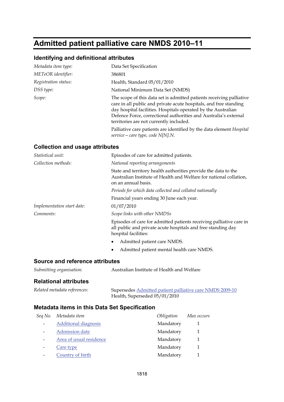# **Admitted patient palliative care NMDS 2010–11**

## **Identifying and definitional attributes**

| Metadata item type:  | Data Set Specification                                                                                                                                                                                                                                                                                                    |
|----------------------|---------------------------------------------------------------------------------------------------------------------------------------------------------------------------------------------------------------------------------------------------------------------------------------------------------------------------|
| METeOR identifier:   | 386801                                                                                                                                                                                                                                                                                                                    |
| Registration status: | Health, Standard 05/01/2010                                                                                                                                                                                                                                                                                               |
| DSS type:            | National Minimum Data Set (NMDS)                                                                                                                                                                                                                                                                                          |
| Scope:               | The scope of this data set is admitted patients receiving palliative<br>care in all public and private acute hospitals, and free standing<br>day hospital facilities. Hospitals operated by the Australian<br>Defence Force, correctional authorities and Australia's external<br>territories are not currently included. |
|                      | Palliative care patients are identified by the data element Hospital<br>service – care type, code $N[N].N$ .                                                                                                                                                                                                              |

### **Collection and usage attributes**

| Statistical unit:               | Episodes of care for admitted patients.                                                                                                                     |
|---------------------------------|-------------------------------------------------------------------------------------------------------------------------------------------------------------|
| Collection methods:             | National reporting arrangements                                                                                                                             |
|                                 | State and territory health authorities provide the data to the<br>Australian Institute of Health and Welfare for national collation,<br>on an annual basis. |
|                                 | Periods for which data collected and collated nationally                                                                                                    |
|                                 | Financial years ending 30 June each year.                                                                                                                   |
| Implementation start date:      | 01/07/2010                                                                                                                                                  |
| Comments:                       | Scope links with other NMDSs                                                                                                                                |
|                                 | Episodes of care for admitted patients receiving palliative care in<br>all public and private acute hospitals and free standing day<br>hospital facilities: |
|                                 | Admitted patient care NMDS.<br>٠                                                                                                                            |
|                                 | Admitted patient mental health care NMDS.                                                                                                                   |
| Source and reference attributes |                                                                                                                                                             |
| Submitting organisation:        | Australian Institute of Health and Welfare                                                                                                                  |

#### **Relational attributes**

| Related metadata references: | Supersedes Admitted patient palliative care NMDS 2009-10 |
|------------------------------|----------------------------------------------------------|
|                              | Health, Superseded 05/01/2010                            |

| Seq No. | Metadata item               | Obligation | Max occurs |
|---------|-----------------------------|------------|------------|
|         | <b>Additional diagnosis</b> | Mandatory  |            |
|         | Admission date              | Mandatory  |            |
|         | Area of usual residence     | Mandatory  |            |
|         | Care type                   | Mandatory  |            |
|         | Country of birth            | Mandatory  |            |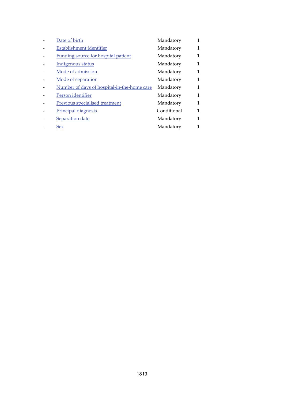| Date of birth                               | Mandatory   |   |
|---------------------------------------------|-------------|---|
| Establishment identifier                    | Mandatory   | 1 |
| Funding source for hospital patient         | Mandatory   | 1 |
| Indigenous status                           | Mandatory   | 1 |
| Mode of admission                           | Mandatory   | 1 |
| Mode of separation                          | Mandatory   | 1 |
| Number of days of hospital-in-the-home care | Mandatory   | 1 |
| Person identifier                           | Mandatory   | 1 |
| Previous specialised treatment              | Mandatory   | 1 |
| Principal diagnosis                         | Conditional | 1 |
| Separation date                             | Mandatory   | 1 |
| <b>Sex</b>                                  | Mandatory   |   |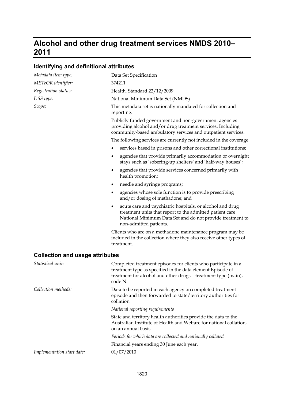## **Alcohol and other drug treatment services NMDS 2010– 2011**

## **Identifying and definitional attributes**

| Metadata item type:                    | Data Set Specification                                                                                                                                                                                            |
|----------------------------------------|-------------------------------------------------------------------------------------------------------------------------------------------------------------------------------------------------------------------|
| METeOR identifier:                     | 374211                                                                                                                                                                                                            |
| Registration status:                   | Health, Standard 22/12/2009                                                                                                                                                                                       |
| DSS type:                              | National Minimum Data Set (NMDS)                                                                                                                                                                                  |
| Scope:                                 | This metadata set is nationally mandated for collection and<br>reporting.                                                                                                                                         |
|                                        | Publicly funded government and non-government agencies<br>providing alcohol and/or drug treatment services. Including<br>community-based ambulatory services and outpatient services.                             |
|                                        | The following services are currently not included in the coverage:                                                                                                                                                |
|                                        | services based in prisons and other correctional institutions;<br>٠                                                                                                                                               |
|                                        | agencies that provide primarily accommodation or overnight<br>٠<br>stays such as 'sobering-up shelters' and 'half-way houses';                                                                                    |
|                                        | agencies that provide services concerned primarily with<br>٠<br>health promotion;                                                                                                                                 |
|                                        | needle and syringe programs;<br>٠                                                                                                                                                                                 |
|                                        | agencies whose sole function is to provide prescribing<br>٠<br>and/or dosing of methadone; and                                                                                                                    |
|                                        | acute care and psychiatric hospitals, or alcohol and drug<br>٠<br>treatment units that report to the admitted patient care<br>National Minimum Data Set and do not provide treatment to<br>non-admitted patients. |
|                                        | Clients who are on a methadone maintenance program may be<br>included in the collection where they also receive other types of<br>treatment.                                                                      |
| <b>Collection and usage attributes</b> |                                                                                                                                                                                                                   |
| Statistical unit:                      | Completed treatment episodes for clients who participate in a<br>treatment type as specified in the data element Episode of<br>treatment for alcohol and other drugs - treatment type (main),<br>code N.          |
| Collection methods:                    | Data to be reported in each agency on completed treatment<br>episode and then forwarded to state/territory authorities for<br>collation.                                                                          |
|                                        | National reporting requirements                                                                                                                                                                                   |
|                                        | State and territory health authorities provide the data to the<br>Australian Institute of Health and Welfare for national collation,<br>on an annual basis.                                                       |
|                                        | Periods for which data are collected and nationally collated                                                                                                                                                      |
|                                        | Financial years ending 30 June each year.                                                                                                                                                                         |
| Implementation start date:             | 01/07/2010                                                                                                                                                                                                        |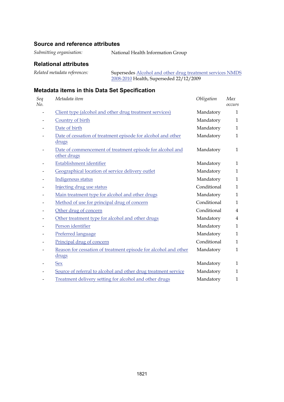#### **Source and reference attributes**

*Submitting organisation:* National Health Information Group

#### **Relational attributes**

*Related metadata references:* Supersedes [Alcohol and other drug treatment services NMDS](http://meteor.aihw.gov.au/content/index.phtml/itemId/362318)  [2008-2010](http://meteor.aihw.gov.au/content/index.phtml/itemId/362318) Health, Superseded 22/12/2009

| Seq<br>No. | Metadata item                                                            | Obligation  | Max<br>occurs  |
|------------|--------------------------------------------------------------------------|-------------|----------------|
|            | Client type (alcohol and other drug treatment services)                  | Mandatory   | 1              |
|            | Country of birth                                                         | Mandatory   | $\mathbf{1}$   |
|            | Date of birth                                                            | Mandatory   | $\mathbf{1}$   |
|            | Date of cessation of treatment episode for alcohol and other<br>drugs    | Mandatory   | $\mathbf{1}$   |
|            | Date of commencement of treatment episode for alcohol and<br>other drugs | Mandatory   | 1              |
|            | Establishment identifier                                                 | Mandatory   | 1              |
|            | Geographical location of service delivery outlet                         | Mandatory   | $\mathbf{1}$   |
|            | Indigenous status                                                        | Mandatory   | $\mathbf{1}$   |
|            | Injecting drug use status                                                | Conditional | $\mathbf{1}$   |
|            | Main treatment type for alcohol and other drugs                          | Mandatory   | $\mathbf{1}$   |
|            | Method of use for principal drug of concern                              | Conditional | $\mathbf{1}$   |
|            | Other drug of concern                                                    | Conditional | $\overline{4}$ |
|            | Other treatment type for alcohol and other drugs                         | Mandatory   | $\overline{4}$ |
|            | Person identifier                                                        | Mandatory   | $\mathbf{1}$   |
|            | Preferred language                                                       | Mandatory   | $\mathbf{1}$   |
|            | Principal drug of concern                                                | Conditional | $\mathbf{1}$   |
|            | Reason for cessation of treatment episode for alcohol and other<br>drugs | Mandatory   | $\mathbf{1}$   |
|            | <b>Sex</b>                                                               | Mandatory   | 1              |
|            | Source of referral to alcohol and other drug treatment service           | Mandatory   | $\mathbf{1}$   |
|            | Treatment delivery setting for alcohol and other drugs                   | Mandatory   | $\mathbf{1}$   |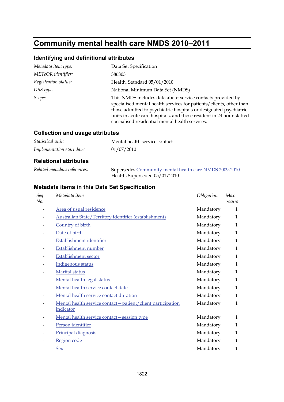# **Community mental health care NMDS 2010–2011**

## **Identifying and definitional attributes**

| Metadata item type:  | Data Set Specification                                                                                                                                                                                                                                                                                                            |
|----------------------|-----------------------------------------------------------------------------------------------------------------------------------------------------------------------------------------------------------------------------------------------------------------------------------------------------------------------------------|
| METeOR identifier:   | 386803                                                                                                                                                                                                                                                                                                                            |
| Registration status: | Health, Standard 05/01/2010                                                                                                                                                                                                                                                                                                       |
| DSS type:            | National Minimum Data Set (NMDS)                                                                                                                                                                                                                                                                                                  |
| Scope:               | This NMDS includes data about service contacts provided by<br>specialised mental health services for patients/clients, other than<br>those admitted to psychiatric hospitals or designated psychiatric<br>units in acute care hospitals, and those resident in 24 hour staffed<br>specialised residential mental health services. |

#### **Collection and usage attributes**

| <i>Statistical unit:</i>   | Mental health service contact |
|----------------------------|-------------------------------|
| Implementation start date: | 01/07/2010                    |

#### **Relational attributes**

| Related metadata references: | Supersedes Community mental health care NMDS 2009-2010 |
|------------------------------|--------------------------------------------------------|
|                              | Health, Superseded 05/01/2010                          |

| Seq<br>No. | Metadata item                                                | Obligation | Max<br>occurs |
|------------|--------------------------------------------------------------|------------|---------------|
|            | Area of usual residence                                      | Mandatory  | $\mathbf{1}$  |
|            | Australian State/Territory identifier (establishment)        | Mandatory  | $\mathbf{1}$  |
| -          | Country of birth                                             | Mandatory  | $\mathbf{1}$  |
|            | Date of birth                                                | Mandatory  | $\mathbf{1}$  |
|            | Establishment identifier                                     | Mandatory  | 1             |
|            | Establishment number                                         | Mandatory  | $\mathbf{1}$  |
|            | <b>Establishment sector</b>                                  | Mandatory  | $\mathbf{1}$  |
|            | Indigenous status                                            | Mandatory  | $\mathbf{1}$  |
| -          | Marital status                                               | Mandatory  | $\mathbf{1}$  |
|            | Mental health legal status                                   | Mandatory  | $\mathbf{1}$  |
| -          | Mental health service contact date                           | Mandatory  | 1             |
|            | Mental health service contact duration                       | Mandatory  | $\mathbf{1}$  |
|            | Mental health service contact - patient/client participation | Mandatory  | $\mathbf{1}$  |
|            | indicator                                                    |            |               |
|            | Mental health service contact - session type                 | Mandatory  | $\mathbf{1}$  |
|            | Person identifier                                            | Mandatory  | $\mathbf{1}$  |
|            | Principal diagnosis                                          | Mandatory  | $\mathbf{1}$  |
|            | Region code                                                  | Mandatory  | $\mathbf{1}$  |
|            | Sex                                                          | Mandatory  | $\mathbf{1}$  |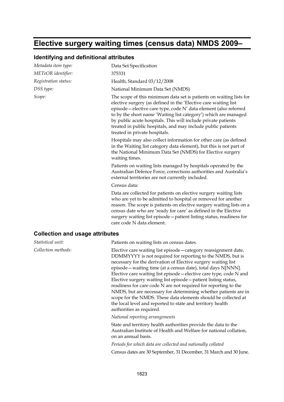## **Elective surgery waiting times (census data) NMDS 2009–**

#### **Identifying and definitional attributes**

| Metadata item type:                    | Data Set Specification                                                                                                                                                                                                                                                                                                                                                                                                                         |
|----------------------------------------|------------------------------------------------------------------------------------------------------------------------------------------------------------------------------------------------------------------------------------------------------------------------------------------------------------------------------------------------------------------------------------------------------------------------------------------------|
| METeOR identifier:                     | 375331                                                                                                                                                                                                                                                                                                                                                                                                                                         |
| Registration status:                   | Health, Standard 03/12/2008                                                                                                                                                                                                                                                                                                                                                                                                                    |
| DSS type:                              | National Minimum Data Set (NMDS)                                                                                                                                                                                                                                                                                                                                                                                                               |
| Scope:                                 | The scope of this minimum data set is patients on waiting lists for<br>elective surgery (as defined in the 'Elective care waiting list<br>episode-elective care type, code N' data element (also referred<br>to by the short name 'Waiting list category') which are managed<br>by public acute hospitals. This will include private patients<br>treated in public hospitals, and may include public patients<br>treated in private hospitals. |
|                                        | Hospitals may also collect information for other care (as defined<br>in the Waiting list category data element), but this is not part of<br>the National Minimum Data Set (NMDS) for Elective surgery<br>waiting times.                                                                                                                                                                                                                        |
|                                        | Patients on waiting lists managed by hospitals operated by the<br>Australian Defence Force, corrections authorities and Australia's<br>external territories are not currently included.                                                                                                                                                                                                                                                        |
|                                        | Census data:                                                                                                                                                                                                                                                                                                                                                                                                                                   |
|                                        | Data are collected for patients on elective surgery waiting lists<br>who are yet to be admitted to hospital or removed for another<br>reason. The scope is patients on elective surgery waiting lists on a<br>census date who are 'ready for care' as defined in the Elective<br>surgery waiting list episode - patient listing status, readiness for<br>care code N data element.                                                             |
| <b>Collection and usage attributes</b> |                                                                                                                                                                                                                                                                                                                                                                                                                                                |
| Statistical unit:                      | Patients on waiting lists on census dates.                                                                                                                                                                                                                                                                                                                                                                                                     |
| Collection methods:                    | Elective care waiting list episode - category reassignment date,<br>DDMMYYYY is not required for reporting to the NMDS, but is<br>necessary for the derivation of Elective surgery waiting list<br>episode – waiting time (at a census date), total days NINNN                                                                                                                                                                                 |

episode—waiting time (at a census date), total days N[NNN]. Elective care waiting list episode—elective care type, code N and Elective surgery waiting list episode—patient listing status, readiness for care code N are not required for reporting to the NMDS, but are necessary for determining whether patients are in scope for the NMDS. These data elements should be collected at the local level and reported to state and territory health authorities as required.

*National reporting arrangements*

State and territory health authorities provide the data to the Australian Institute of Health and Welfare for national collation, on an annual basis.

*Periods for which data are collected and nationally collated* Census dates are 30 September, 31 December, 31 March and 30 June.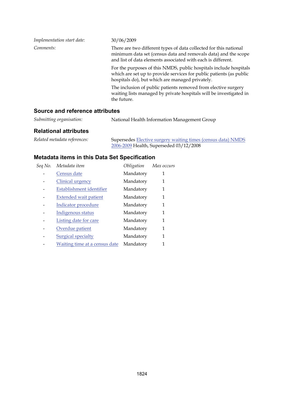| Implementation start date: | 30/06/2009                                                                                                                                                                                          |
|----------------------------|-----------------------------------------------------------------------------------------------------------------------------------------------------------------------------------------------------|
| Comments:                  | There are two different types of data collected for this national<br>minimum data set (census data and removals data) and the scope<br>and list of data elements associated with each is different. |
|                            | For the purposes of this NMDS, public hospitals include hospitals<br>which are set up to provide services for public patients (as public<br>hospitals do), but which are managed privately.         |
|                            | The inclusion of public patients removed from elective surgery<br>waiting lists managed by private hospitals will be investigated in<br>the future.                                                 |

#### **Source and reference attributes**

| Submitting organisation:<br>National Health Information Management Group |
|--------------------------------------------------------------------------|
|--------------------------------------------------------------------------|

#### **Relational attributes**

| Related metadata references: | Supersedes <b>Elective surgery waiting times (census data) NMDS</b> |
|------------------------------|---------------------------------------------------------------------|
|                              | 2006-2009 Health, Superseded 03/12/2008                             |

| Seq No. | Metadata item                 | Obligation | Max occurs |
|---------|-------------------------------|------------|------------|
|         | Census date                   | Mandatory  |            |
|         | Clinical urgency              | Mandatory  | 1          |
|         | Establishment identifier      | Mandatory  | 1          |
|         | <b>Extended wait patient</b>  | Mandatory  | 1          |
|         | Indicator procedure           | Mandatory  | 1          |
|         | Indigenous status             | Mandatory  | 1          |
|         | Listing date for care         | Mandatory  | 1          |
|         | Overdue patient               | Mandatory  | 1          |
|         | <b>Surgical specialty</b>     | Mandatory  | 1          |
|         | Waiting time at a census date | Mandatory  |            |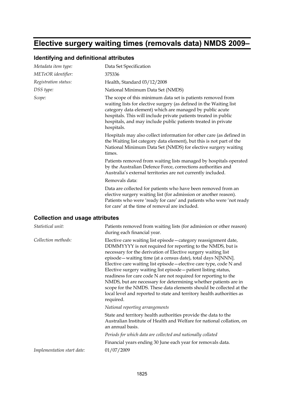## **Elective surgery waiting times (removals data) NMDS 2009–**

#### **Identifying and definitional attributes**

| Metadata item type:                    | Data Set Specification                                                                                                                                                                                                                                                                                                                          |
|----------------------------------------|-------------------------------------------------------------------------------------------------------------------------------------------------------------------------------------------------------------------------------------------------------------------------------------------------------------------------------------------------|
| METeOR identifier:                     | 375336                                                                                                                                                                                                                                                                                                                                          |
| Registration status:                   | Health, Standard 03/12/2008                                                                                                                                                                                                                                                                                                                     |
| DSS type:                              | National Minimum Data Set (NMDS)                                                                                                                                                                                                                                                                                                                |
| Scope:                                 | The scope of this minimum data set is patients removed from<br>waiting lists for elective surgery (as defined in the Waiting list<br>category data element) which are managed by public acute<br>hospitals. This will include private patients treated in public<br>hospitals, and may include public patients treated in private<br>hospitals. |
|                                        | Hospitals may also collect information for other care (as defined in<br>the Waiting list category data element), but this is not part of the<br>National Minimum Data Set (NMDS) for elective surgery waiting<br>times.                                                                                                                         |
|                                        | Patients removed from waiting lists managed by hospitals operated<br>by the Australian Defence Force, corrections authorities and<br>Australia's external territories are not currently included.                                                                                                                                               |
|                                        | Removals data:                                                                                                                                                                                                                                                                                                                                  |
|                                        | Data are collected for patients who have been removed from an<br>elective surgery waiting list (for admission or another reason).<br>Patients who were 'ready for care' and patients who were 'not ready<br>for care' at the time of removal are included.                                                                                      |
| <b>Collection and usage attributes</b> |                                                                                                                                                                                                                                                                                                                                                 |
| Statistical unit:                      | Patients removed from waiting lists (for admission or other reason)<br>during each financial year.                                                                                                                                                                                                                                              |
| Collection methods:                    | Elective care waiting list episode - category reassignment date,                                                                                                                                                                                                                                                                                |

DDMMYYYY is not required for reporting to the NMDS, but is necessary for the derivation of Elective surgery waiting list episode—waiting time (at a census date), total days N[NNN]. Elective care waiting list episode—elective care type, code N and Elective surgery waiting list episode—patient listing status, readiness for care code N are not required for reporting to the NMDS, but are necessary for determining whether patients are in scope for the NMDS. These data elements should be collected at the local level and reported to state and territory health authorities as required.

#### *National reporting arrangements*

State and territory health authorities provide the data to the Australian Institute of Health and Welfare for national collation, on an annual basis.

*Periods for which data are collected and nationally collated*

Financial years ending 30 June each year for removals data.

*Implementation start date:* 01/07/2009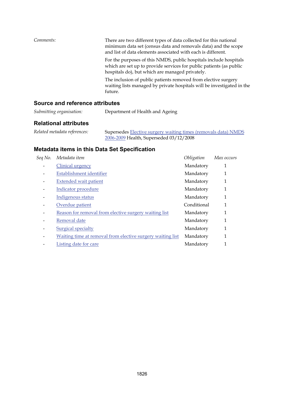| Comments: | There are two different types of data collected for this national<br>minimum data set (census data and removals data) and the scope<br>and list of data elements associated with each is different. |
|-----------|-----------------------------------------------------------------------------------------------------------------------------------------------------------------------------------------------------|
|           | For the purposes of this NMDS, public hospitals include hospitals<br>which are set up to provide services for public patients (as public<br>hospitals do), but which are managed privately.         |
|           | The inclusion of public patients removed from elective surgery<br>waiting lists managed by private hospitals will be investigated in the<br>future.                                                 |

### **Source and reference attributes**

| Submitting organisation: | Department of Health and Ageing |
|--------------------------|---------------------------------|
|--------------------------|---------------------------------|

### **Relational attributes**

| Related metadata references: | Supersedes <b>Elective surgery waiting times</b> (removals data) NMDS |
|------------------------------|-----------------------------------------------------------------------|
|                              | 2006-2009 Health, Superseded 03/12/2008                               |

| Seq No. | Metadata item                                              | Obligation  | Max occurs |
|---------|------------------------------------------------------------|-------------|------------|
|         | Clinical urgency                                           | Mandatory   | 1          |
|         | Establishment identifier                                   | Mandatory   | 1          |
|         | <b>Extended wait patient</b>                               | Mandatory   | 1          |
|         | Indicator procedure                                        | Mandatory   | 1          |
|         | Indigenous status                                          | Mandatory   | 1          |
|         | Overdue patient                                            | Conditional | 1          |
|         | Reason for removal from elective surgery waiting list      | Mandatory   | 1          |
|         | Removal date                                               | Mandatory   | 1          |
|         | <b>Surgical specialty</b>                                  | Mandatory   | 1          |
|         | Waiting time at removal from elective surgery waiting list | Mandatory   | 1          |
|         | Listing date for care                                      | Mandatory   |            |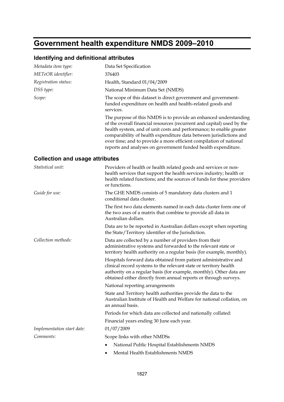# **Government health expenditure NMDS 2009–2010**

## **Identifying and definitional attributes**

| Metadata item type:                    | Data Set Specification                                                                                                                                                                                                                                                                                                                                                                                                         |
|----------------------------------------|--------------------------------------------------------------------------------------------------------------------------------------------------------------------------------------------------------------------------------------------------------------------------------------------------------------------------------------------------------------------------------------------------------------------------------|
| METeOR identifier:                     | 376403                                                                                                                                                                                                                                                                                                                                                                                                                         |
| Registration status:                   | Health, Standard 01/04/2009                                                                                                                                                                                                                                                                                                                                                                                                    |
| DSS type:                              | National Minimum Data Set (NMDS)                                                                                                                                                                                                                                                                                                                                                                                               |
| Scope:                                 | The scope of this dataset is direct government and government-<br>funded expenditure on health and health-related goods and<br>services.                                                                                                                                                                                                                                                                                       |
|                                        | The purpose of this NMDS is to provide an enhanced understanding<br>of the overall financial resources (recurrent and capital) used by the<br>health system, and of unit costs and performance; to enable greater<br>comparability of health expenditure data between jurisdictions and<br>over time; and to provide a more efficient compilation of national<br>reports and analyses on government funded health expenditure. |
| <b>Collection and usage attributes</b> |                                                                                                                                                                                                                                                                                                                                                                                                                                |
| Statistical unit:                      | Providers of health or health related goods and services or non-<br>health services that support the health services industry; health or<br>health related functions; and the sources of funds for these providers<br>or functions.                                                                                                                                                                                            |
| Guide for use:                         | The GHE NMDS consists of 5 mandatory data clusters and 1<br>conditional data cluster.                                                                                                                                                                                                                                                                                                                                          |
|                                        | The first two data elements named in each data cluster form one of<br>the two axes of a matrix that combine to provide all data in<br>Australian dollars.                                                                                                                                                                                                                                                                      |
|                                        | Data are to be reported in Australian dollars except when reporting<br>the State/Territory identifier of the Jurisdiction.                                                                                                                                                                                                                                                                                                     |
| Collection methods:                    | Data are collected by a number of providers from their<br>administrative systems and forwarded to the relevant state or<br>territory health authority on a regular basis (for example, monthly).                                                                                                                                                                                                                               |
|                                        | Hospitals forward data obtained from patient administrative and<br>clinical record systems to the relevant state or territory health<br>authority on a regular basis (for example, monthly). Other data are<br>obtained either directly from annual reports or through surveys.                                                                                                                                                |
|                                        | National reporting arrangements                                                                                                                                                                                                                                                                                                                                                                                                |
|                                        | State and Territory health authorities provide the data to the<br>Australian Institute of Health and Welfare for national collation, on<br>an annual basis.                                                                                                                                                                                                                                                                    |
|                                        | Periods for which data are collected and nationally collated:                                                                                                                                                                                                                                                                                                                                                                  |
|                                        | Financial years ending 30 June each year.                                                                                                                                                                                                                                                                                                                                                                                      |
| Implementation start date:             | 01/07/2009                                                                                                                                                                                                                                                                                                                                                                                                                     |
| Comments:                              | Scope links with other NMDSs                                                                                                                                                                                                                                                                                                                                                                                                   |
|                                        | National Public Hospital Establishments NMDS                                                                                                                                                                                                                                                                                                                                                                                   |

• Mental Health Establishments NMDS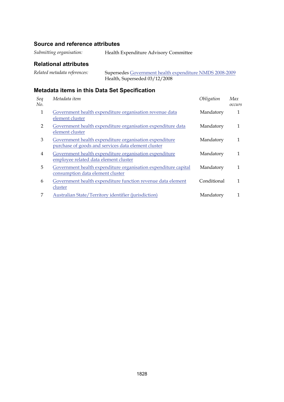### **Source and reference attributes**

*Submitting organisation:* Health Expenditure Advisory Committee

### **Relational attributes**

| Related metadata references: | Supersedes Government health expenditure NMDS 2008-2009 |
|------------------------------|---------------------------------------------------------|
|                              | Health, Superseded 03/12/2008                           |

| Seq<br>No. | Metadata item                                                                                                 | Obligation  | Max<br>occurs |
|------------|---------------------------------------------------------------------------------------------------------------|-------------|---------------|
| 1          | Government health expenditure organisation revenue data<br>element cluster                                    | Mandatory   | 1             |
| 2          | Government health expenditure organisation expenditure data<br>element cluster                                | Mandatory   | 1             |
| 3          | Government health expenditure organisation expenditure<br>purchase of goods and services data element cluster | Mandatory   | 1             |
| 4          | Government health expenditure organisation expenditure<br>employee related data element cluster               | Mandatory   | 1             |
| 5          | Government health expenditure organisation expenditure capital<br>consumption data element cluster            | Mandatory   | 1             |
| 6          | Government health expenditure function revenue data element<br>cluster                                        | Conditional | 1             |
| 7          | Australian State/Territory identifier (jurisdiction)                                                          | Mandatory   |               |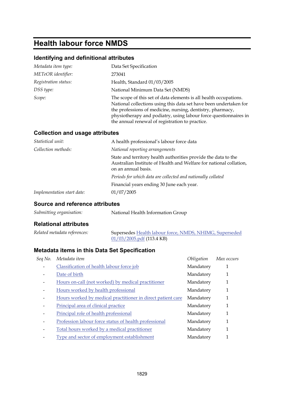# **Health labour force NMDS**

### **Identifying and definitional attributes**

| Metadata item type:  | Data Set Specification                                                                                                                                                                                                                                                                                                      |
|----------------------|-----------------------------------------------------------------------------------------------------------------------------------------------------------------------------------------------------------------------------------------------------------------------------------------------------------------------------|
| METeOR identifier:   | 273041                                                                                                                                                                                                                                                                                                                      |
| Registration status: | Health, Standard 01/03/2005                                                                                                                                                                                                                                                                                                 |
| DSS type:            | National Minimum Data Set (NMDS)                                                                                                                                                                                                                                                                                            |
| Scope:               | The scope of this set of data elements is all health occupations.<br>National collections using this data set have been undertaken for<br>the professions of medicine, nursing, dentistry, pharmacy,<br>physiotherapy and podiatry, using labour force questionnaires in<br>the annual renewal of registration to practice. |

#### **Collection and usage attributes**

| A health professional's labour force data                                                                                                                   |
|-------------------------------------------------------------------------------------------------------------------------------------------------------------|
| National reporting arrangements                                                                                                                             |
| State and territory health authorities provide the data to the<br>Australian Institute of Health and Welfare for national collation,<br>on an annual basis. |
| Periods for which data are collected and nationally collated                                                                                                |
| Financial years ending 30 June each year.                                                                                                                   |
| 01/07/2005                                                                                                                                                  |
|                                                                                                                                                             |

### **Source and reference attributes**

| Submitting organisation: | National Health Information Group |
|--------------------------|-----------------------------------|
|                          |                                   |

#### **Relational attributes**

| Related metadata references: | Supersedes Health labour force, NMDS, NHIMG, Superseded |
|------------------------------|---------------------------------------------------------|
|                              | $01/03/2005$ .pdf (113.4 KB)                            |

| Seq No. | Metadata item                                               | Obligation | Max occurs |
|---------|-------------------------------------------------------------|------------|------------|
|         | Classification of health labour force job                   | Mandatory  | 1          |
|         | Date of birth                                               | Mandatory  | 1          |
|         | Hours on-call (not worked) by medical practitioner          | Mandatory  | 1          |
| -       | Hours worked by health professional                         | Mandatory  | 1          |
|         | Hours worked by medical practitioner in direct patient care | Mandatory  | 1          |
|         | Principal area of clinical practice                         | Mandatory  | 1          |
|         | Principal role of health professional                       | Mandatory  | 1          |
|         | Profession labour force status of health professional       | Mandatory  | 1          |
|         | Total hours worked by a medical practitioner                | Mandatory  | 1          |
|         | Type and sector of employment establishment                 | Mandatory  |            |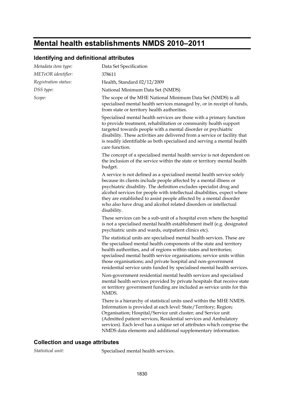# **Mental health establishments NMDS 2010–2011**

### **Identifying and definitional attributes**

| Metadata item type:  | Data Set Specification                                                                                                                                                                                                                                                                                                                                                                                                                                    |
|----------------------|-----------------------------------------------------------------------------------------------------------------------------------------------------------------------------------------------------------------------------------------------------------------------------------------------------------------------------------------------------------------------------------------------------------------------------------------------------------|
| METeOR identifier:   | 378611                                                                                                                                                                                                                                                                                                                                                                                                                                                    |
| Registration status: | Health, Standard 02/12/2009                                                                                                                                                                                                                                                                                                                                                                                                                               |
| DSS type:            | National Minimum Data Set (NMDS)                                                                                                                                                                                                                                                                                                                                                                                                                          |
| Scope:               | The scope of the MHE National Minimum Data Set (NMDS) is all<br>specialised mental health services managed by, or in receipt of funds,<br>from state or territory health authorities.                                                                                                                                                                                                                                                                     |
|                      | Specialised mental health services are those with a primary function<br>to provide treatment, rehabilitation or community health support<br>targeted towards people with a mental disorder or psychiatric<br>disability. These activities are delivered from a service or facility that<br>is readily identifiable as both specialised and serving a mental health<br>care function.                                                                      |
|                      | The concept of a specialised mental health service is not dependent on<br>the inclusion of the service within the state or territory mental health<br>budget.                                                                                                                                                                                                                                                                                             |
|                      | A service is not defined as a specialised mental health service solely<br>because its clients include people affected by a mental illness or<br>psychiatric disability. The definition excludes specialist drug and<br>alcohol services for people with intellectual disabilities, expect where<br>they are established to assist people affected by a mental disorder<br>who also have drug and alcohol related disorders or intellectual<br>disability. |
|                      | These services can be a sub-unit of a hospital even where the hospital<br>is not a specialised mental health establishment itself (e.g. designated<br>psychiatric units and wards, outpatient clinics etc).                                                                                                                                                                                                                                               |
|                      | The statistical units are specialised mental health services. These are<br>the specialised mental health components of the state and territory<br>health authorities, and of regions within states and territories;<br>specialised mental health service organisations; service units within<br>those organisations; and private hospital and non-government<br>residential service units funded by specialised mental health services.                   |
|                      | Non-government residential mental health services and specialised<br>mental health services provided by private hospitals that receive state<br>or territory government funding are included as service units for this<br>NMDS.                                                                                                                                                                                                                           |
|                      | There is a hierarchy of statistical units used within the MHE NMDS.<br>Information is provided at each level: State/Territory; Region;<br>Organisation; Hospital/Service unit cluster; and Service unit<br>(Admitted patient services, Residential services and Ambulatory<br>services). Each level has a unique set of attributes which comprise the<br>NMDS data elements and additional supplementary information.                                     |

### **Collection and usage attributes**

*Statistical unit:* Specialised mental health services.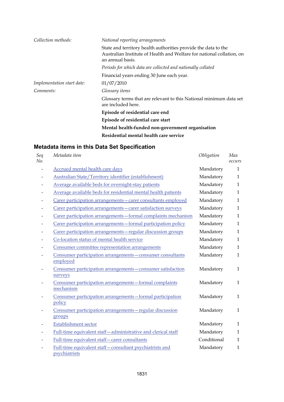| Collection methods:        | National reporting arrangements                                                                                                                             |
|----------------------------|-------------------------------------------------------------------------------------------------------------------------------------------------------------|
|                            | State and territory health authorities provide the data to the<br>Australian Institute of Health and Welfare for national collation, on<br>an annual basis. |
|                            | Periods for which data are collected and nationally collated                                                                                                |
|                            | Financial years ending 30 June each year.                                                                                                                   |
| Implementation start date: | 01/07/2010                                                                                                                                                  |
| Comments:                  | Glossary <i>items</i>                                                                                                                                       |
|                            | Glossary terms that are relevant to this National minimum data set<br>are included here.                                                                    |
|                            | Episode of residential care end                                                                                                                             |
|                            | Episode of residential care start                                                                                                                           |
|                            | Mental health-funded non-government organisation                                                                                                            |
|                            | Residential mental health care service                                                                                                                      |

| Seq<br>No. | Metadata item                                                            | Obligation  | Max<br>occurs |
|------------|--------------------------------------------------------------------------|-------------|---------------|
|            | Accrued mental health care days                                          | Mandatory   | $\mathbf{1}$  |
|            | Australian State/Territory identifier (establishment)                    | Mandatory   | $\mathbf{1}$  |
|            | Average available beds for overnight-stay patients                       | Mandatory   | $\mathbf{1}$  |
|            | Average available beds for residential mental health patients            | Mandatory   | $\mathbf{1}$  |
|            | Carer participation arrangements - carer consultants employed            | Mandatory   | $\mathbf{1}$  |
|            | Carer participation arrangements - carer satisfaction surveys            | Mandatory   | $\mathbf{1}$  |
|            | Carer participation arrangements - formal complaints mechanism           | Mandatory   | $\mathbf{1}$  |
|            | Carer participation arrangements - formal participation policy           | Mandatory   | $\mathbf{1}$  |
|            | Carer participation arrangements - regular discussion groups             | Mandatory   | $\mathbf{1}$  |
|            | Co-location status of mental health service                              | Mandatory   | $\mathbf{1}$  |
|            | Consumer committee representation arrangements                           | Mandatory   | $\mathbf{1}$  |
|            | Consumer participation arrangements - consumer consultants<br>employed   | Mandatory   | $\mathbf{1}$  |
|            | Consumer participation arrangements - consumer satisfaction<br>surveys   | Mandatory   | $\mathbf{1}$  |
|            | Consumer participation arrangements-formal complaints<br>mechanism       | Mandatory   | $\mathbf{1}$  |
|            | Consumer participation arrangements - formal participation<br>policy     | Mandatory   | $\mathbf{1}$  |
|            | Consumer participation arrangements-regular discussion<br>groups         | Mandatory   | $\mathbf{1}$  |
|            | Establishment sector                                                     | Mandatory   | $\mathbf{1}$  |
|            | Full-time equivalent staff-administrative and clerical staff             | Mandatory   | $\mathbf{1}$  |
|            | Full-time equivalent staff-carer consultants                             | Conditional | $\mathbf{1}$  |
|            | Full-time equivalent staff-consultant psychiatrists and<br>psychiatrists | Mandatory   | $\mathbf{1}$  |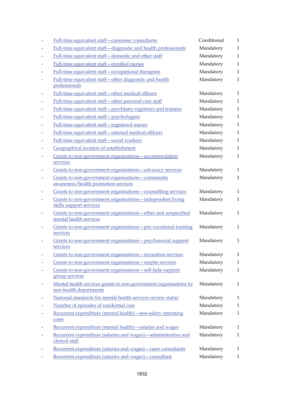|                          | Full-time equivalent staff-consumer consultants                                            | Conditional | 1            |
|--------------------------|--------------------------------------------------------------------------------------------|-------------|--------------|
|                          | Full-time equivalent staff-diagnostic and health professionals                             | Mandatory   | $\mathbf{1}$ |
|                          | Full-time equivalent staff-domestic and other staff                                        | Mandatory   | $\mathbf{1}$ |
|                          | Full-time equivalent staff-enrolled nurses                                                 | Mandatory   | $\mathbf{1}$ |
|                          | Full-time equivalent staff - occupational therapists                                       | Mandatory   | 1            |
|                          | Full-time equivalent staff-other diagnostic and health<br>professionals                    | Mandatory   | 1            |
|                          | Full-time equivalent staff-other medical officers                                          | Mandatory   | $\mathbf{1}$ |
| $\overline{\phantom{a}}$ | Full-time equivalent staff-other personal care staff                                       | Mandatory   | $\mathbf{1}$ |
|                          | Full-time equivalent staff-psychiatry registrars and trainees                              | Mandatory   | $\mathbf{1}$ |
|                          | Full-time equivalent staff-psychologists                                                   | Mandatory   | $\mathbf{1}$ |
|                          | Full-time equivalent staff-registered nurses                                               | Mandatory   | $\mathbf{1}$ |
| $\overline{a}$           | Full-time equivalent staff-salaried medical officers                                       | Mandatory   | $\mathbf{1}$ |
| $\overline{a}$           | Full-time equivalent staff-social workers                                                  | Mandatory   | $\mathbf{1}$ |
|                          | Geographical location of establishment                                                     | Mandatory   | $\mathbf{1}$ |
| $\overline{\phantom{0}}$ | Grants to non-government organisations - accommodation<br>services                         | Mandatory   | $\mathbf{1}$ |
|                          | Grants to non-government organisations - advocacy services                                 | Mandatory   | $\mathbf{1}$ |
|                          | Grants to non-government organisations - community<br>awareness/health promotion services  | Mandatory   | $\mathbf{1}$ |
|                          | Grants to non-government organisations - counselling services                              | Mandatory   | $\mathbf{1}$ |
|                          | Grants to non-government organisations-independent living<br>skills support services       | Mandatory   | $\mathbf{1}$ |
| $\overline{a}$           | Grants to non-government organisations - other and unspecified<br>mental health services   | Mandatory   | $\mathbf{1}$ |
|                          | Grants to non-government organisations - pre-vocational training<br>services               | Mandatory   | $\mathbf{1}$ |
|                          | Grants to non-government organisations - psychosocial support<br>services                  | Mandatory   | $\mathbf{1}$ |
|                          | Grants to non-government organisations - recreation services                               | Mandatory   | $\mathbf{1}$ |
|                          | Grants to non-government organisations - respite services                                  | Mandatory   | $\mathbf{1}$ |
|                          | Grants to non-government organisations-self-help support<br>group services                 | Mandatory   | $\mathbf{1}$ |
| $\overline{a}$           | Mental health services grants to non-government organisations by<br>non-health departments | Mandatory   | 1            |
|                          | National standards for mental health services review status                                | Mandatory   | $\mathbf{1}$ |
|                          | Number of episodes of residential care                                                     | Mandatory   | $\mathbf{1}$ |
|                          | Recurrent expenditure (mental health) - non-salary operating<br>costs                      | Mandatory   | $\mathbf{1}$ |
|                          | Recurrent expenditure (mental health) - salaries and wages                                 | Mandatory   | 1            |
|                          | Recurrent expenditure (salaries and wages) - administrative and<br>clerical staff          | Mandatory   | $\mathbf{1}$ |
|                          | Recurrent expenditure (salaries and wages) - carer consultants                             | Mandatory   | $\mathbf{1}$ |
|                          | Recurrent expenditure (salaries and wages) - consultant                                    | Mandatory   | $\mathbf{1}$ |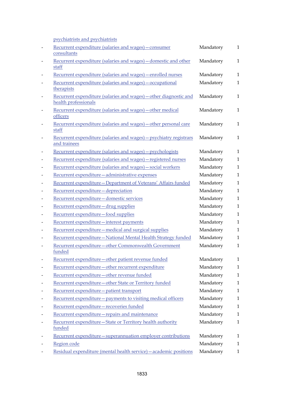psychiatrists and psychiatrists

|                              | povemanois and povemanois                                                                 |           |              |
|------------------------------|-------------------------------------------------------------------------------------------|-----------|--------------|
|                              | Recurrent expenditure (salaries and wages) - consumer<br>consultants                      | Mandatory | $\mathbf{1}$ |
| $\qquad \qquad \blacksquare$ | Recurrent expenditure (salaries and wages) - domestic and other<br>staff                  | Mandatory | $\mathbf{1}$ |
|                              | Recurrent expenditure (salaries and wages) - enrolled nurses                              | Mandatory | $\mathbf{1}$ |
|                              | Recurrent expenditure (salaries and wages) - occupational                                 | Mandatory | $\mathbf{1}$ |
|                              | therapists                                                                                |           |              |
| $\overline{\phantom{a}}$     | Recurrent expenditure (salaries and wages) - other diagnostic and<br>health professionals | Mandatory | $\mathbf{1}$ |
|                              | Recurrent expenditure (salaries and wages) - other medical<br>officers                    | Mandatory | $\mathbf{1}$ |
| $\overline{\phantom{a}}$     | Recurrent expenditure (salaries and wages) - other personal care<br>staff                 | Mandatory | 1            |
| $\qquad \qquad$              | Recurrent expenditure (salaries and wages) - psychiatry registrars<br>and trainees        | Mandatory | $\mathbf{1}$ |
|                              | Recurrent expenditure (salaries and wages) - psychologists                                | Mandatory | 1            |
|                              | Recurrent expenditure (salaries and wages) - registered nurses                            | Mandatory | $\mathbf{1}$ |
|                              | Recurrent expenditure (salaries and wages) - social workers                               | Mandatory | $\mathbf{1}$ |
|                              | Recurrent expenditure-administrative expenses                                             | Mandatory | $\mathbf{1}$ |
|                              | Recurrent expenditure - Department of Veterans' Affairs funded                            | Mandatory | $\mathbf{1}$ |
| $\qquad \qquad$              | Recurrent expenditure-depreciation                                                        | Mandatory | $\mathbf{1}$ |
|                              | Recurrent expenditure-domestic services                                                   | Mandatory | 1            |
| $\qquad \qquad$              | Recurrent expenditure - drug supplies                                                     | Mandatory | $\mathbf{1}$ |
|                              | Recurrent expenditure-food supplies                                                       | Mandatory | $\mathbf{1}$ |
| $\qquad \qquad$              | Recurrent expenditure - interest payments                                                 | Mandatory | 1            |
| $\overline{a}$               | Recurrent expenditure - medical and surgical supplies                                     | Mandatory | 1            |
|                              | Recurrent expenditure-National Mental Health Strategy funded                              | Mandatory | $\mathbf{1}$ |
| $\overline{a}$               | Recurrent expenditure-other Commonwealth Government<br>funded                             | Mandatory | $\mathbf{1}$ |
|                              | Recurrent expenditure-other patient revenue funded                                        | Mandatory | $\mathbf{1}$ |
|                              | Recurrent expenditure-other recurrent expenditure                                         | Mandatory | 1            |
|                              | Recurrent expenditure-other revenue funded                                                | Mandatory | $\mathbf{1}$ |
|                              | Recurrent expenditure-other State or Territory funded                                     | Mandatory | 1            |
| $\overline{\phantom{0}}$     | Recurrent expenditure-patient transport                                                   | Mandatory | $\mathbf{1}$ |
| $\overline{\phantom{0}}$     | Recurrent expenditure - payments to visiting medical officers                             | Mandatory | 1            |
|                              | Recurrent expenditure-recoveries funded                                                   | Mandatory | 1            |
|                              | Recurrent expenditure-repairs and maintenance                                             | Mandatory | 1            |
|                              | Recurrent expenditure-State or Territory health authority<br>funded                       | Mandatory | 1            |
|                              | Recurrent expenditure - superannuation employer contributions                             | Mandatory | 1            |
|                              | Region code                                                                               | Mandatory | 1            |
|                              | Residual expenditure (mental health service) - academic positions                         | Mandatory | $\mathbf{1}$ |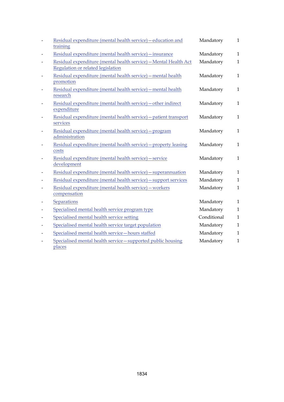|                              | Residual expenditure (mental health service) - education and<br>training                              | Mandatory   | $\mathbf{1}$ |
|------------------------------|-------------------------------------------------------------------------------------------------------|-------------|--------------|
|                              | Residual expenditure (mental health service) - insurance                                              | Mandatory   | $\mathbf{1}$ |
| $\qquad \qquad \blacksquare$ | Residual expenditure (mental health service) - Mental Health Act<br>Regulation or related legislation | Mandatory   | $\mathbf{1}$ |
| $\overline{a}$               | Residual expenditure (mental health service) - mental health<br>promotion                             | Mandatory   | $\mathbf{1}$ |
| $\overline{\phantom{0}}$     | Residual expenditure (mental health service) - mental health<br>research                              | Mandatory   | $\mathbf{1}$ |
| $\qquad \qquad \blacksquare$ | Residual expenditure (mental health service) - other indirect<br>expenditure                          | Mandatory   | $\mathbf{1}$ |
| $\overline{\phantom{0}}$     | Residual expenditure (mental health service) - patient transport<br>services                          | Mandatory   | $\mathbf{1}$ |
| $\qquad \qquad \blacksquare$ | Residual expenditure (mental health service) - program<br>administration                              | Mandatory   | $\mathbf{1}$ |
| $\overline{\phantom{0}}$     | Residual expenditure (mental health service) - property leasing<br>costs                              | Mandatory   | $\mathbf{1}$ |
| $\overline{a}$               | Residual expenditure (mental health service) - service<br>development                                 | Mandatory   | $\mathbf{1}$ |
|                              | Residual expenditure (mental health service) - superannuation                                         | Mandatory   | $\mathbf{1}$ |
| $\qquad \qquad \blacksquare$ | Residual expenditure (mental health service) - support services                                       | Mandatory   | $\mathbf{1}$ |
| $\qquad \qquad \blacksquare$ | Residual expenditure (mental health service) - workers<br>compensation                                | Mandatory   | $\mathbf{1}$ |
|                              | Separations                                                                                           | Mandatory   | $\mathbf{1}$ |
| $\overline{a}$               | Specialised mental health service program type                                                        | Mandatory   | $\mathbf{1}$ |
| $\qquad \qquad \blacksquare$ | Specialised mental health service setting                                                             | Conditional | $\mathbf{1}$ |
| $\qquad \qquad \blacksquare$ | Specialised mental health service target population                                                   | Mandatory   | $\mathbf{1}$ |
| $\overline{\phantom{0}}$     | Specialised mental health service-hours staffed                                                       | Mandatory   | $\mathbf{1}$ |
| $\overline{a}$               | Specialised mental health service-supported public housing<br>places                                  | Mandatory   | $\mathbf{1}$ |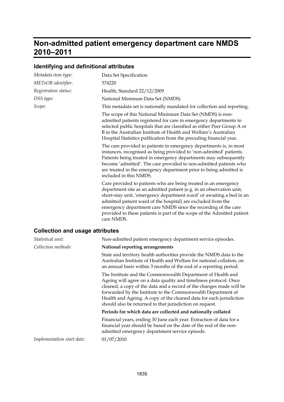## **Non-admitted patient emergency department care NMDS 2010–2011**

### **Identifying and definitional attributes**

| Metadata item type:                    | Data Set Specification                                                                                                                                                                                                                                                                                                                                                                                                                     |
|----------------------------------------|--------------------------------------------------------------------------------------------------------------------------------------------------------------------------------------------------------------------------------------------------------------------------------------------------------------------------------------------------------------------------------------------------------------------------------------------|
| METeOR identifier:                     | 374220                                                                                                                                                                                                                                                                                                                                                                                                                                     |
| Registration status:                   | Health, Standard 22/12/2009                                                                                                                                                                                                                                                                                                                                                                                                                |
| DSS type:                              | National Minimum Data Set (NMDS)                                                                                                                                                                                                                                                                                                                                                                                                           |
| Scope:                                 | This metadata set is nationally mandated for collection and reporting.                                                                                                                                                                                                                                                                                                                                                                     |
|                                        | The scope of this National Minimum Data Set (NMDS) is non-<br>admitted patients registered for care in emergency departments in<br>selected public hospitals that are classified as either Peer Group A or<br>B in the Australian Institute of Health and Welfare's Australian<br>Hospital Statistics publication from the preceding financial year.                                                                                       |
|                                        | The care provided to patients in emergency departments is, in most<br>instances, recognised as being provided to 'non-admitted' patients.<br>Patients being treated in emergency departments may subsequently<br>become 'admitted'. The care provided to non-admitted patients who<br>are treated in the emergency department prior to being admitted is<br>included in this NMDS.                                                         |
|                                        | Care provided to patients who are being treated in an emergency<br>department site as an admitted patient (e.g. in an observation unit,<br>short-stay unit, 'emergency department ward' or awaiting a bed in an<br>admitted patient ward of the hospital) are excluded from the<br>emergency department care NMDS since the recording of the care<br>provided to these patients is part of the scope of the Admitted patient<br>care NMDS. |
| <b>Collection and usage attributes</b> |                                                                                                                                                                                                                                                                                                                                                                                                                                            |
| Statistical unit:                      | Non-admitted patient emergency department service episodes.                                                                                                                                                                                                                                                                                                                                                                                |
| Collection methods:                    | National reporting arrangements                                                                                                                                                                                                                                                                                                                                                                                                            |
|                                        | State and territory health authorities provide the NMDS data to the<br>Australian Institute of Health and Welfare for national collation, on<br>an annual basis within 3 months of the end of a reporting period.                                                                                                                                                                                                                          |
|                                        | The Institute and the Commonwealth Department of Health and<br>Ageing will agree on a data quality and timeliness protocol. Once<br>cleaned, a copy of the data and a record of the changes made will be<br>forwarded by the Institute to the Commonwealth Department of<br>Health and Ageing. A copy of the cleaned data for each jurisdiction<br>should also be returned to that jurisdiction on request.                                |
|                                        | Periods for which data are collected and nationally collated                                                                                                                                                                                                                                                                                                                                                                               |
|                                        | Financial years, ending 30 June each year. Extraction of data for a<br>financial year should be based on the date of the end of the non-                                                                                                                                                                                                                                                                                                   |

admitted emergency department service episode. *Implementation start date:* 01/07/2010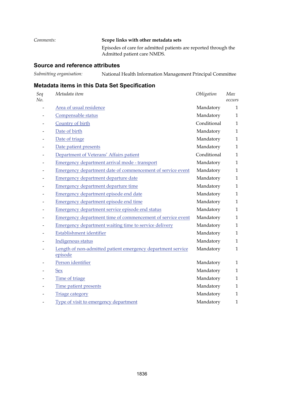*Comments:* **Scope links with other metadata sets** Episodes of care for admitted patients are reported through the Admitted patient care NMDS.

#### **Source and reference attributes**

*Submitting organisation:* National Health Information Management Principal Committee

| Seq<br>No. | Metadata item                                                          | Obligation  | Max<br>occurs |
|------------|------------------------------------------------------------------------|-------------|---------------|
|            | Area of usual residence                                                | Mandatory   | $\mathbf{1}$  |
|            | Compensable status                                                     | Mandatory   | $\mathbf{1}$  |
|            | Country of birth                                                       | Conditional | $\mathbf{1}$  |
|            | Date of birth                                                          | Mandatory   | $\mathbf{1}$  |
|            | Date of triage                                                         | Mandatory   | $\mathbf{1}$  |
|            | Date patient presents                                                  | Mandatory   | $\mathbf{1}$  |
|            | Department of Veterans' Affairs patient                                | Conditional | $\mathbf{1}$  |
|            | Emergency department arrival mode - transport                          | Mandatory   | $\mathbf{1}$  |
|            | Emergency department date of commencement of service event             | Mandatory   | $\mathbf{1}$  |
|            | Emergency department departure date                                    | Mandatory   | $\mathbf{1}$  |
|            | <b>Emergency department departure time</b>                             | Mandatory   | $\mathbf{1}$  |
|            | Emergency department episode end date                                  | Mandatory   | $\mathbf{1}$  |
|            | <b>Emergency department episode end time</b>                           | Mandatory   | $\mathbf{1}$  |
|            | <b>Emergency department service episode end status</b>                 | Mandatory   | $\mathbf{1}$  |
|            | Emergency department time of commencement of service event             | Mandatory   | $\mathbf{1}$  |
|            | <b>Emergency department waiting time to service delivery</b>           | Mandatory   | $\mathbf{1}$  |
|            | Establishment identifier                                               | Mandatory   | $\mathbf{1}$  |
|            | Indigenous status                                                      | Mandatory   | $\mathbf{1}$  |
|            | Length of non-admitted patient emergency department service<br>episode | Mandatory   | $\mathbf{1}$  |
|            | Person identifier                                                      | Mandatory   | $\mathbf{1}$  |
|            | <b>Sex</b>                                                             | Mandatory   | $\mathbf{1}$  |
|            | Time of triage                                                         | Mandatory   | $\mathbf{1}$  |
|            | Time patient presents                                                  | Mandatory   | $\mathbf{1}$  |
|            | <b>Triage category</b>                                                 | Mandatory   | $\mathbf{1}$  |
|            | Type of visit to emergency department                                  | Mandatory   | $\mathbf{1}$  |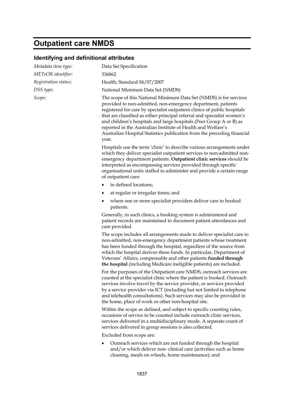# **Outpatient care NMDS**

## **Identifying and definitional attributes**

| Metadata item type:  | Data Set Specification                                                                                                                                                                                                                                                                                                                                                                                                                                                                                               |
|----------------------|----------------------------------------------------------------------------------------------------------------------------------------------------------------------------------------------------------------------------------------------------------------------------------------------------------------------------------------------------------------------------------------------------------------------------------------------------------------------------------------------------------------------|
| METeOR identifier:   | 336862                                                                                                                                                                                                                                                                                                                                                                                                                                                                                                               |
| Registration status: | Health, Standard 04/07/2007                                                                                                                                                                                                                                                                                                                                                                                                                                                                                          |
| DSS type:            | National Minimum Data Set (NMDS)                                                                                                                                                                                                                                                                                                                                                                                                                                                                                     |
| Scope:               | The scope of this National Minimum Data Set (NMDS) is for services<br>provided to non-admitted, non-emergency department, patients<br>registered for care by specialist outpatient clinics of public hospitals<br>that are classified as either principal referral and specialist women's<br>and children's hospitals and large hospitals (Peer Group A or B) as<br>reported in the Australian Institute of Health and Welfare's<br>Australian Hospital Statistics publication from the preceding financial<br>year. |
|                      | Hospitals use the term 'clinic' to describe various arrangements under<br>which they deliver specialist outpatient services to non-admitted non-<br>emergency department patients. Outpatient clinic services should be<br>interpreted as encompassing services provided through specific<br>organisational units staffed to administer and provide a certain range<br>of outpatient care:                                                                                                                           |
|                      | in defined locations;                                                                                                                                                                                                                                                                                                                                                                                                                                                                                                |
|                      | at regular or irregular times; and<br>٠                                                                                                                                                                                                                                                                                                                                                                                                                                                                              |
|                      | where one or more specialist providers deliver care to booked<br>٠<br>patients.                                                                                                                                                                                                                                                                                                                                                                                                                                      |
|                      | Generally, in such clinics, a booking system is administered and<br>patient records are maintained to document patient attendances and<br>care provided.                                                                                                                                                                                                                                                                                                                                                             |
|                      | The scope includes all arrangements made to deliver specialist care to<br>non-admitted, non-emergency department patients whose treatment<br>has been funded through the hospital, regardless of the source from<br>which the hospital derives these funds. In particular, Department of<br>Veterans' Affairs, compensable and other patients funded through<br>the hospital (including Medicare ineligible patients) are included.                                                                                  |
|                      | For the purposes of the Outpatient care NMDS, outreach services are<br>counted at the specialist clinic where the patient is booked. Outreach<br>services involve travel by the service provider, or services provided<br>by a service provider via ICT (including but not limited to telephone<br>and telehealth consultations). Such services may also be provided in<br>the home, place of work or other non-hospital site.                                                                                       |
|                      | Within the scope as defined, and subject to specific counting rules,<br>occasions of service to be counted include outreach clinic services,<br>services delivered in a multidisciplinary mode. A separate count of<br>services delivered in group sessions is also collected.                                                                                                                                                                                                                                       |
|                      | Excluded from scope are:                                                                                                                                                                                                                                                                                                                                                                                                                                                                                             |
|                      | Outreach services which are not funded through the hospital<br>and/or which deliver non-clinical care (activities such as home<br>cleaning, meals on wheels, home maintenance); and                                                                                                                                                                                                                                                                                                                                  |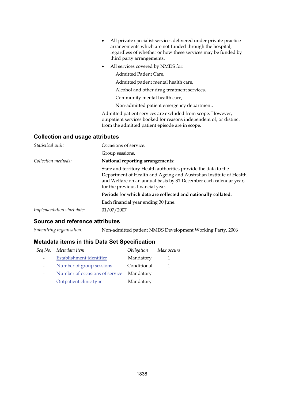|                                        | All private specialist services delivered under private practice<br>arrangements which are not funded through the hospital,<br>regardless of whether or how these services may be funded by<br>third party arrangements.                      |
|----------------------------------------|-----------------------------------------------------------------------------------------------------------------------------------------------------------------------------------------------------------------------------------------------|
|                                        | All services covered by NMDS for:                                                                                                                                                                                                             |
|                                        | Admitted Patient Care.                                                                                                                                                                                                                        |
|                                        | Admitted patient mental health care,                                                                                                                                                                                                          |
|                                        | Alcohol and other drug treatment services,                                                                                                                                                                                                    |
|                                        | Community mental health care,                                                                                                                                                                                                                 |
|                                        | Non-admitted patient emergency department.                                                                                                                                                                                                    |
|                                        | Admitted patient services are excluded from scope. However,<br>outpatient services booked for reasons independent of, or distinct<br>from the admitted patient episode are in scope.                                                          |
| <b>Collection and usage attributes</b> |                                                                                                                                                                                                                                               |
| Statistical unit:                      | Occasions of service.                                                                                                                                                                                                                         |
|                                        | Group sessions.                                                                                                                                                                                                                               |
| Collection methods:                    | National reporting arrangements:                                                                                                                                                                                                              |
|                                        | State and territory Health authorities provide the data to the<br>Department of Health and Ageing and Australian Institute of Health<br>and Welfare on an annual basis by 31 December each calendar year,<br>for the previous financial year. |
|                                        | The shed of the settled of the compact foot of a set of settles of the continuation                                                                                                                                                           |

**Periods for which data are collected and nationally collated:**

Each financial year ending 30 June.

*Implementation start date:* 01/07/2007

#### **Source and reference attributes**

*Submitting organisation:* Non-admitted patient NMDS Development Working Party, 2006

| Seq No. | Metadata item                  | Obligation  | Max occurs |
|---------|--------------------------------|-------------|------------|
|         | Establishment identifier       | Mandatory   |            |
|         | Number of group sessions       | Conditional |            |
|         | Number of occasions of service | Mandatory   |            |
|         | Outpatient clinic type         | Mandatory   |            |
|         |                                |             |            |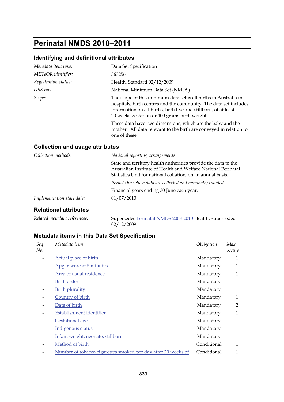# **Perinatal NMDS 2010–2011**

### **Identifying and definitional attributes**

| Metadata item type:                    | Data Set Specification                                                                                                                                                                                                                                    |
|----------------------------------------|-----------------------------------------------------------------------------------------------------------------------------------------------------------------------------------------------------------------------------------------------------------|
| METeOR identifier:                     | 363256                                                                                                                                                                                                                                                    |
| Registration status:                   | Health, Standard 02/12/2009                                                                                                                                                                                                                               |
| DSS type:                              | National Minimum Data Set (NMDS)                                                                                                                                                                                                                          |
| Scope:                                 | The scope of this minimum data set is all births in Australia in<br>hospitals, birth centres and the community. The data set includes<br>information on all births, both live and stillborn, of at least<br>20 weeks gestation or 400 grams birth weight. |
|                                        | These data have two dimensions, which are the baby and the<br>mother. All data relevant to the birth are conveyed in relation to<br>one of these.                                                                                                         |
| <b>Collection and usage attributes</b> |                                                                                                                                                                                                                                                           |

| Collection methods:            | National reporting arrangements                                                                                                                                                                |
|--------------------------------|------------------------------------------------------------------------------------------------------------------------------------------------------------------------------------------------|
|                                | State and territory health authorities provide the data to the<br>Australian Institute of Health and Welfare National Perinatal<br>Statistics Unit for national collation, on an annual basis. |
|                                | Periods for which data are collected and nationally collated                                                                                                                                   |
|                                | Financial years ending 30 June each year.                                                                                                                                                      |
| Implementation start date:     | 01/07/2010                                                                                                                                                                                     |
| لممةن واستنفاء المسمانة والمال |                                                                                                                                                                                                |

#### **Relational attributes**

*Related metadata references:* Supersedes [Perinatal NMDS 2008-2010](http://meteor.aihw.gov.au/content/index.phtml/itemId/362313) Health, Superseded  $02/12/2009$ 

| Seq<br>No. | Metadata item                                                 | Obligation  | Max<br>occurs |
|------------|---------------------------------------------------------------|-------------|---------------|
|            | Actual place of birth                                         | Mandatory   | 1             |
|            | Apgar score at 5 minutes                                      | Mandatory   | $\mathbf{1}$  |
|            | Area of usual residence                                       | Mandatory   | $\mathbf{1}$  |
|            | Birth order                                                   | Mandatory   | 1             |
|            | <b>Birth plurality</b>                                        | Mandatory   | 1             |
|            | Country of birth                                              | Mandatory   | $\mathbf{1}$  |
|            | Date of birth                                                 | Mandatory   | 2             |
|            | Establishment identifier                                      | Mandatory   | 1             |
|            | <b>Gestational age</b>                                        | Mandatory   | 1             |
|            | Indigenous status                                             | Mandatory   | $\mathbf{1}$  |
|            | Infant weight, neonate, stillborn                             | Mandatory   | 1             |
|            | Method of birth                                               | Conditional | 1             |
|            | Number of tobacco cigarettes smoked per day after 20 weeks of | Conditional | 1             |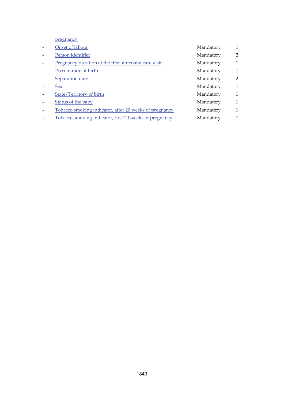pregnancy

| Onset of labour                                        | Mandatory | $\mathbf{1}$   |
|--------------------------------------------------------|-----------|----------------|
| Person identifier                                      | Mandatory | 2              |
| Pregnancy duration at the first antenatal care visit   | Mandatory | $\mathbf{1}$   |
| Presentation at birth                                  | Mandatory | $\mathbf{1}$   |
| Separation date                                        | Mandatory | $\overline{2}$ |
| <b>Sex</b>                                             | Mandatory | $\mathbf{1}$   |
| State/Territory of birth                               | Mandatory | $\mathbf{1}$   |
| Status of the baby                                     | Mandatory | $\mathbf{1}$   |
| Tobacco smoking indicator, after 20 weeks of pregnancy | Mandatory | $\mathbf{1}$   |
| Tobacco smoking indicator, first 20 weeks of pregnancy | Mandatory | $\mathbf{1}$   |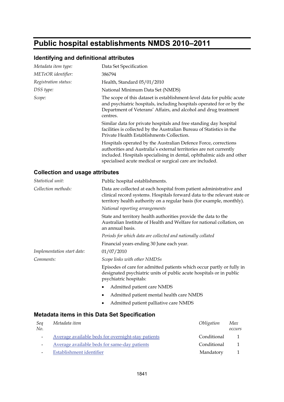# **Public hospital establishments NMDS 2010–2011**

## **Identifying and definitional attributes**

| Metadata item type:  | Data Set Specification                                                                                                                                                                                                                                                     |
|----------------------|----------------------------------------------------------------------------------------------------------------------------------------------------------------------------------------------------------------------------------------------------------------------------|
| METeOR identifier:   | 386794                                                                                                                                                                                                                                                                     |
| Registration status: | Health, Standard 05/01/2010                                                                                                                                                                                                                                                |
| DSS type:            | National Minimum Data Set (NMDS)                                                                                                                                                                                                                                           |
| Scope:               | The scope of this dataset is establishment-level data for public acute<br>and psychiatric hospitals, including hospitals operated for or by the<br>Department of Veterans' Affairs, and alcohol and drug treatment<br>centres.                                             |
|                      | Similar data for private hospitals and free standing day hospital<br>facilities is collected by the Australian Bureau of Statistics in the<br>Private Health Establishments Collection.                                                                                    |
|                      | Hospitals operated by the Australian Defence Force, corrections<br>authorities and Australia's external territories are not currently<br>included. Hospitals specialising in dental, ophthalmic aids and other<br>specialised acute medical or surgical care are included. |

## **Collection and usage attributes**

| Statistical unit:          | Public hospital establishments.                                                                                                                                                                                          |  |
|----------------------------|--------------------------------------------------------------------------------------------------------------------------------------------------------------------------------------------------------------------------|--|
| Collection methods:        | Data are collected at each hospital from patient administrative and<br>clinical record systems. Hospitals forward data to the relevant state or<br>territory health authority on a regular basis (for example, monthly). |  |
|                            | National reporting arrangements                                                                                                                                                                                          |  |
|                            | State and territory health authorities provide the data to the<br>Australian Institute of Health and Welfare for national collation, on<br>an annual basis.                                                              |  |
|                            | Periods for which data are collected and nationally collated                                                                                                                                                             |  |
|                            | Financial years ending 30 June each year.                                                                                                                                                                                |  |
| Implementation start date: | 01/07/2010                                                                                                                                                                                                               |  |
| Comments:                  | Scope links with other NMDSs                                                                                                                                                                                             |  |
|                            | Episodes of care for admitted patients which occur partly or fully in<br>designated psychiatric units of public acute hospitals or in public<br>psychiatric hospitals:                                                   |  |
|                            | Admitted patient care NMDS                                                                                                                                                                                               |  |
|                            | Admitted patient mental health care NMDS                                                                                                                                                                                 |  |
|                            | Admitted patient palliative care NMDS                                                                                                                                                                                    |  |
|                            |                                                                                                                                                                                                                          |  |

| Seq<br>No. | Metadata item                                      | <i>Obligation</i> | Max<br>occurs |
|------------|----------------------------------------------------|-------------------|---------------|
|            | Average available beds for overnight-stay patients | Conditional       |               |
|            | Average available beds for same-day patients       | Conditional       |               |
|            | Establishment identifier                           | Mandatory         |               |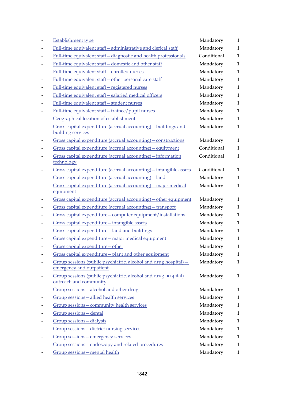|                          | <b>Establishment type</b>                                                                   | Mandatory   | 1            |
|--------------------------|---------------------------------------------------------------------------------------------|-------------|--------------|
|                          | Full-time equivalent staff-administrative and clerical staff                                | Mandatory   | $\mathbf{1}$ |
|                          | Full-time equivalent staff-diagnostic and health professionals                              | Conditional | $\mathbf{1}$ |
| $\overline{a}$           | Full-time equivalent staff-domestic and other staff                                         | Mandatory   | $\mathbf{1}$ |
| $\overline{\phantom{a}}$ | Full-time equivalent staff-enrolled nurses                                                  | Mandatory   | $\mathbf{1}$ |
|                          | Full-time equivalent staff-other personal care staff                                        | Mandatory   | $\mathbf{1}$ |
|                          | Full-time equivalent staff-registered nurses                                                | Mandatory   | $\mathbf{1}$ |
| $\qquad \qquad$          | Full-time equivalent staff-salaried medical officers                                        | Mandatory   | $\mathbf{1}$ |
|                          | Full-time equivalent staff-student nurses                                                   | Mandatory   | $\mathbf{1}$ |
|                          | Full-time equivalent staff-trainee/pupil nurses                                             | Mandatory   | $\mathbf{1}$ |
| $\overline{a}$           | Geographical location of establishment                                                      | Mandatory   | $\mathbf{1}$ |
| $\overline{a}$           | Gross capital expenditure (accrual accounting) – buildings and<br>building services         | Mandatory   | $\mathbf{1}$ |
|                          | Gross capital expenditure (accrual accounting) - constructions                              | Mandatory   | $\mathbf{1}$ |
|                          | Gross capital expenditure (accrual accounting) - equipment                                  | Conditional | $\mathbf{1}$ |
|                          | Gross capital expenditure (accrual accounting) - information<br>technology                  | Conditional | $\mathbf{1}$ |
|                          | Gross capital expenditure (accrual accounting) - intangible assets                          | Conditional | $\mathbf{1}$ |
|                          | Gross capital expenditure (accrual accounting) - land                                       | Mandatory   | $\mathbf{1}$ |
|                          | Gross capital expenditure (accrual accounting) - major medical<br>equipment                 | Mandatory   | $\mathbf{1}$ |
| $\overline{\phantom{0}}$ | Gross capital expenditure (accrual accounting) - other equipment                            | Mandatory   | $\mathbf{1}$ |
| $\qquad \qquad$          | Gross capital expenditure (accrual accounting) - transport                                  | Mandatory   | $\mathbf{1}$ |
| $\overline{\phantom{0}}$ | Gross capital expenditure - computer equipment/installations                                | Mandatory   | $\mathbf{1}$ |
| $\overline{a}$           | Gross capital expenditure - intangible assets                                               | Mandatory   | 1            |
| $\overline{a}$           | Gross capital expenditure-land and buildings                                                | Mandatory   | $\mathbf{1}$ |
|                          | Gross capital expenditure - major medical equipment                                         | Mandatory   | $\mathbf{1}$ |
|                          | Gross capital expenditure-other                                                             | Mandatory   | $\mathbf{1}$ |
|                          | Gross capital expenditure - plant and other equipment                                       | Mandatory   | 1            |
|                          | Group sessions (public psychiatric, alcohol and drug hospital)-<br>emergency and outpatient | Mandatory   | $\mathbf{1}$ |
|                          | Group sessions (public psychiatric, alcohol and drug hospital) –<br>outreach and community  | Mandatory   | $\mathbf{1}$ |
|                          | Group sessions-alcohol and other drug                                                       | Mandatory   | 1            |
|                          | Group sessions-allied health services                                                       | Mandatory   | $\mathbf{1}$ |
|                          | Group sessions - community health services                                                  | Mandatory   | $\mathbf{1}$ |
|                          | Group sessions-dental                                                                       | Mandatory   | 1            |
|                          | Group sessions-dialysis                                                                     | Mandatory   | $\mathbf{1}$ |
|                          | Group sessions - district nursing services                                                  | Mandatory   | 1            |
|                          | Group sessions-emergency services                                                           | Mandatory   | 1            |
|                          | Group sessions-endoscopy and related procedures                                             | Mandatory   | $\mathbf{1}$ |
|                          | Group sessions - mental health                                                              | Mandatory   | $\mathbf{1}$ |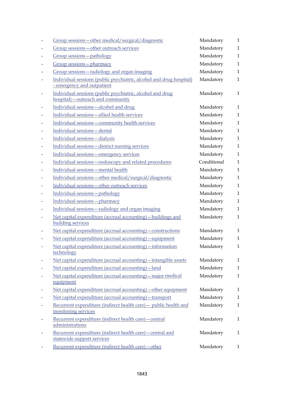|                          | Group sessions - other medical/surgical/diagnostic                                                | Mandatory   | $\mathbf{1}$ |
|--------------------------|---------------------------------------------------------------------------------------------------|-------------|--------------|
|                          | Group sessions-other outreach services                                                            | Mandatory   | $\mathbf{1}$ |
|                          | Group sessions - pathology                                                                        | Mandatory   | $\mathbf{1}$ |
|                          | Group sessions-pharmacy                                                                           | Mandatory   | $\mathbf{1}$ |
|                          | Group sessions-radiology and organ imaging                                                        | Mandatory   | $\mathbf{1}$ |
|                          | Individual sessions (public psychiatric, alcohol and drug hospital)<br>- emergency and outpatient | Mandatory   | $\mathbf{1}$ |
| $\overline{\phantom{a}}$ | Individual sessions (public psychiatric, alcohol and drug<br>hospital) – outreach and community   | Mandatory   | $\mathbf{1}$ |
|                          | Individual sessions-alcohol and drug                                                              | Mandatory   | $\mathbf{1}$ |
|                          | Individual sessions-allied health services                                                        | Mandatory   | $\mathbf{1}$ |
|                          | Individual sessions - community health services                                                   | Mandatory   | $\mathbf{1}$ |
|                          | Individual sessions-dental                                                                        | Mandatory   | $\mathbf{1}$ |
|                          | Individual sessions-dialysis                                                                      | Mandatory   | $\mathbf{1}$ |
|                          | Individual sessions-district nursing services                                                     | Mandatory   | $\mathbf{1}$ |
|                          | Individual sessions-emergency services                                                            | Mandatory   | $\mathbf{1}$ |
|                          | Individual sessions-endoscopy and related procedures                                              | Conditional | $\mathbf{1}$ |
|                          | Individual sessions-mental health                                                                 | Mandatory   | $\mathbf{1}$ |
|                          | Individual sessions - other medical/surgical/diagnostic                                           | Mandatory   | $\mathbf{1}$ |
|                          | Individual sessions - other outreach services                                                     | Mandatory   | $\mathbf{1}$ |
|                          | Individual sessions-pathology                                                                     | Mandatory   | $\mathbf{1}$ |
|                          | Individual sessions-pharmacy                                                                      | Mandatory   | $\mathbf{1}$ |
|                          | Individual sessions-radiology and organ imaging                                                   | Mandatory   | $\mathbf{1}$ |
|                          | Net capital expenditure (accrual accounting) - buildings and<br>building services                 | Mandatory   | $\mathbf{1}$ |
|                          | Net capital expenditure (accrual accounting) – constructions                                      | Mandatory   | $\mathbf{1}$ |
|                          | Net capital expenditure (accrual accounting) - equipment                                          | Mandatory   | $\mathbf{1}$ |
|                          | Net capital expenditure (accrual accounting) - information<br>technology                          | Mandatory   | $\mathbf{1}$ |
|                          | Net capital expenditure (accrual accounting) - intangible assets                                  | Mandatory   | $\mathbf{1}$ |
|                          | Net capital expenditure (accrual accounting) - land                                               | Mandatory   | $\mathbf{1}$ |
|                          | Net capital expenditure (accrual accounting) – major medical<br>equipment                         | Mandatory   | $\mathbf{1}$ |
|                          | Net capital expenditure (accrual accounting) - other equipment                                    | Mandatory   | $\mathbf{1}$ |
|                          | Net capital expenditure (accrual accounting) - transport                                          | Mandatory   | $\mathbf{1}$ |
|                          | Recurrent expenditure (indirect health care) - public health and<br>monitoring services           | Mandatory   | $\mathbf{1}$ |
|                          | Recurrent expenditure (indirect health care) - central<br>administrations                         | Mandatory   | $\mathbf{1}$ |
|                          | Recurrent expenditure (indirect health care) - central and<br>statewide support services          | Mandatory   | $\mathbf{1}$ |
|                          | Recurrent expenditure (indirect health care) - other                                              | Mandatory   | $\mathbf{1}$ |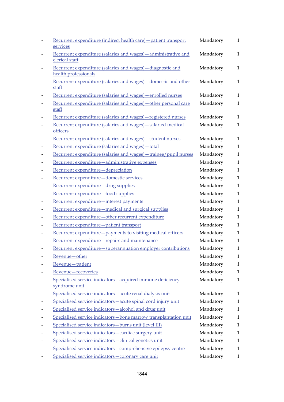|                          | Recurrent expenditure (indirect health care) - patient transport<br>services        | Mandatory | $\mathbf{1}$ |
|--------------------------|-------------------------------------------------------------------------------------|-----------|--------------|
|                          | Recurrent expenditure (salaries and wages) - administrative and<br>clerical staff   | Mandatory | $\mathbf{1}$ |
| $\qquad \qquad$          | Recurrent expenditure (salaries and wages) - diagnostic and<br>health professionals | Mandatory | $\mathbf{1}$ |
|                          | Recurrent expenditure (salaries and wages) - domestic and other<br>staff            | Mandatory | $\mathbf{1}$ |
|                          | Recurrent expenditure (salaries and wages) – enrolled nurses                        | Mandatory | $\mathbf{1}$ |
|                          | Recurrent expenditure (salaries and wages) - other personal care<br>staff           | Mandatory | $\mathbf{1}$ |
|                          | Recurrent expenditure (salaries and wages) - registered nurses                      | Mandatory | $\mathbf{1}$ |
| $\overline{\phantom{a}}$ | Recurrent expenditure (salaries and wages) - salaried medical<br>officers           | Mandatory | $\mathbf{1}$ |
|                          | Recurrent expenditure (salaries and wages) - student nurses                         | Mandatory | $\mathbf{1}$ |
|                          | Recurrent expenditure (salaries and wages) - total                                  | Mandatory | $\mathbf{1}$ |
|                          | Recurrent expenditure (salaries and wages) - trainee/pupil nurses                   | Mandatory | $\mathbf{1}$ |
| $\overline{\phantom{a}}$ | Recurrent expenditure - administrative expenses                                     | Mandatory | $\mathbf{1}$ |
|                          | Recurrent expenditure-depreciation                                                  | Mandatory | $\mathbf{1}$ |
|                          | Recurrent expenditure-domestic services                                             | Mandatory | $\mathbf{1}$ |
| $\overline{\phantom{a}}$ | Recurrent expenditure - drug supplies                                               | Mandatory | $\mathbf{1}$ |
| $\qquad \qquad$          | Recurrent expenditure-food supplies                                                 | Mandatory | $\mathbf{1}$ |
|                          | Recurrent expenditure—interest payments                                             | Mandatory | $\mathbf{1}$ |
| $\qquad \qquad$          | Recurrent expenditure - medical and surgical supplies                               | Mandatory | $\mathbf{1}$ |
| $\overline{\phantom{a}}$ | Recurrent expenditure - other recurrent expenditure                                 | Mandatory | $\mathbf{1}$ |
| $\overline{\phantom{a}}$ | Recurrent expenditure-patient transport                                             | Mandatory | $\mathbf{1}$ |
|                          | Recurrent expenditure - payments to visiting medical officers                       | Mandatory | $\mathbf{1}$ |
|                          | Recurrent expenditure-repairs and maintenance                                       | Mandatory | $\mathbf{1}$ |
|                          | Recurrent expenditure - superannuation employer contributions                       | Mandatory | $\mathbf{1}$ |
|                          | Revenue-other                                                                       | Mandatory | $\mathbf{1}$ |
|                          | Revenue-patient                                                                     | Mandatory | $\mathbf{1}$ |
|                          | Revenue-recoveries                                                                  | Mandatory | 1            |
|                          | Specialised service indicators-acquired immune deficiency<br>syndrome unit          | Mandatory | $\mathbf{1}$ |
|                          | Specialised service indicators-acute renal dialysis unit                            | Mandatory | 1            |
|                          | Specialised service indicators-acute spinal cord injury unit                        | Mandatory | 1            |
|                          | Specialised service indicators-alcohol and drug unit                                | Mandatory | $\mathbf{1}$ |
|                          | Specialised service indicators-bone marrow transplantation unit                     | Mandatory | 1            |
|                          | Specialised service indicators-burns unit (level III)                               | Mandatory | $\mathbf{1}$ |
|                          | Specialised service indicators-cardiac surgery unit                                 | Mandatory | 1            |
|                          | Specialised service indicators - clinical genetics unit                             | Mandatory | 1            |
|                          | Specialised service indicators - comprehensive epilepsy centre                      | Mandatory | 1            |
|                          | Specialised service indicators-coronary care unit                                   | Mandatory | $\mathbf{1}$ |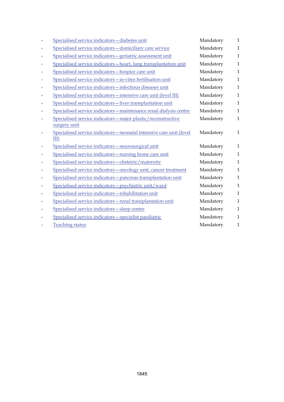|                              | Specialised service indicators-diabetes unit                                  | Mandatory | 1            |
|------------------------------|-------------------------------------------------------------------------------|-----------|--------------|
|                              | Specialised service indicators - domiciliary care service                     | Mandatory | $\mathbf{1}$ |
|                              | Specialised service indicators - geriatric assessment unit                    | Mandatory | $\mathbf{1}$ |
|                              | Specialised service indicators - heart, lung transplantation unit             | Mandatory | $\mathbf{1}$ |
|                              | Specialised service indicators-hospice care unit                              | Mandatory | $\mathbf{1}$ |
|                              | Specialised service indicators-in-vitro fertilisation unit                    | Mandatory | $\mathbf{1}$ |
|                              | Specialised service indicators-infectious diseases unit                       | Mandatory | 1            |
|                              | Specialised service indicators - intensive care unit (level III)              | Mandatory | $\mathbf{1}$ |
|                              | Specialised service indicators-liver transplantation unit                     | Mandatory | $\mathbf{1}$ |
|                              | Specialised service indicators-maintenance renal dialysis centre              | Mandatory | $\mathbf{1}$ |
|                              | Specialised service indicators - major plastic/reconstructive<br>surgery unit | Mandatory | $\mathbf{1}$ |
| $\qquad \qquad \blacksquare$ | Specialised service indicators - neonatal intensive care unit (level<br>III)  | Mandatory | $\mathbf{1}$ |
|                              | Specialised service indicators-neurosurgical unit                             | Mandatory | 1            |
|                              | Specialised service indicators - nursing home care unit                       | Mandatory | 1            |
|                              | Specialised service indicators-obstetric/maternity                            | Mandatory | $\mathbf{1}$ |
|                              | Specialised service indicators - oncology unit, cancer treatment              | Mandatory | 1            |
|                              | Specialised service indicators - pancreas transplantation unit                | Mandatory | $\mathbf{1}$ |
|                              | Specialised service indicators - psychiatric unit/ward                        | Mandatory | $\mathbf{1}$ |
|                              | Specialised service indicators-rehabilitation unit                            | Mandatory | 1            |
|                              | Specialised service indicators - renal transplantation unit                   | Mandatory | 1            |
|                              | Specialised service indicators-sleep centre                                   | Mandatory | 1            |
|                              | Specialised service indicators-specialist paediatric                          | Mandatory | 1            |
|                              | <b>Teaching status</b>                                                        | Mandatory | 1            |
|                              |                                                                               |           |              |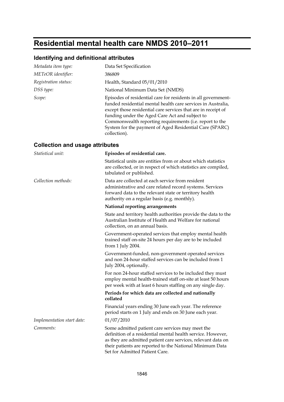# **Residential mental health care NMDS 2010–2011**

## **Identifying and definitional attributes**

| Metadata item type:  | Data Set Specification                                                                                                                                                                                                                                                                                                                                                                 |
|----------------------|----------------------------------------------------------------------------------------------------------------------------------------------------------------------------------------------------------------------------------------------------------------------------------------------------------------------------------------------------------------------------------------|
| METeOR identifier:   | 386809                                                                                                                                                                                                                                                                                                                                                                                 |
| Registration status: | Health, Standard 05/01/2010                                                                                                                                                                                                                                                                                                                                                            |
| DSS type:            | National Minimum Data Set (NMDS)                                                                                                                                                                                                                                                                                                                                                       |
| Scope:               | Episodes of residential care for residents in all government-<br>funded residential mental health care services in Australia,<br>except those residential care services that are in receipt of<br>funding under the Aged Care Act and subject to<br>Commonwealth reporting requirements (i.e. report to the<br>System for the payment of Aged Residential Care (SPARC)<br>collection). |

### **Collection and usage attributes**

| Statistical unit:          | Episodes of residential care.                                                                                                                                                                                                                                                 |
|----------------------------|-------------------------------------------------------------------------------------------------------------------------------------------------------------------------------------------------------------------------------------------------------------------------------|
|                            | Statistical units are entities from or about which statistics<br>are collected, or in respect of which statistics are compiled,<br>tabulated or published.                                                                                                                    |
| Collection methods:        | Data are collected at each service from resident<br>administrative and care related record systems. Services<br>forward data to the relevant state or territory health<br>authority on a regular basis (e.g. monthly).                                                        |
|                            | National reporting arrangements                                                                                                                                                                                                                                               |
|                            | State and territory health authorities provide the data to the<br>Australian Institute of Health and Welfare for national<br>collection, on an annual basis.                                                                                                                  |
|                            | Government-operated services that employ mental health<br>trained staff on-site 24 hours per day are to be included<br>from 1 July 2004.                                                                                                                                      |
|                            | Government-funded, non-government operated services<br>and non 24-hour staffed services can be included from 1<br>July 2004, optionally.                                                                                                                                      |
|                            | For non 24-hour staffed services to be included they must<br>employ mental health-trained staff on-site at least 50 hours<br>per week with at least 6 hours staffing on any single day.                                                                                       |
|                            | Periods for which data are collected and nationally<br>collated                                                                                                                                                                                                               |
|                            | Financial years ending 30 June each year. The reference<br>period starts on 1 July and ends on 30 June each year.                                                                                                                                                             |
| Implementation start date: | 01/07/2010                                                                                                                                                                                                                                                                    |
| Comments:                  | Some admitted patient care services may meet the<br>definition of a residential mental health service. However,<br>as they are admitted patient care services, relevant data on<br>their patients are reported to the National Minimum Data<br>Set for Admitted Patient Care. |